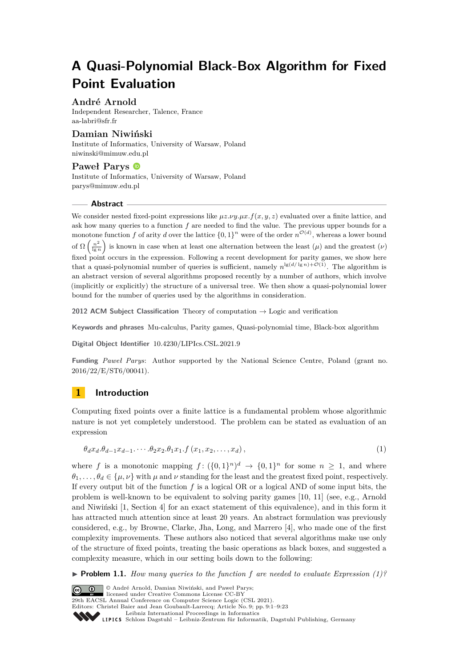# **A Quasi-Polynomial Black-Box Algorithm for Fixed Point Evaluation**

### **André Arnold**

Independent Researcher, Talence, France [aa-labri@sfr.fr](mailto:aa-labri@sfr.fr)

### **Damian Niwiński**

Institute of Informatics, University of Warsaw, Poland [niwinski@mimuw.edu.pl](mailto:niwinski@mimuw.edu.pl)

### **Paweł Parys**

Institute of Informatics, University of Warsaw, Poland [parys@mimuw.edu.pl](mailto:parys@mimuw.edu.pl)

### **Abstract**

We consider nested fixed-point expressions like  $\mu z.\nu y.\mu x.f(x, y, z)$  evaluated over a finite lattice, and ask how many queries to a function *f* are needed to find the value. The previous upper bounds for a monotone function f of arity d over the lattice  $\{0,1\}^n$  were of the order  $n^{\mathcal{O}(d)}$ , whereas a lower bound of  $\Omega\left(\frac{n^2}{\ln n}\right)$  $\frac{n^2}{\lg n}$  is known in case when at least one alternation between the least  $(\mu)$  and the greatest  $(\nu)$ fixed point occurs in the expression. Following a recent development for parity games, we show here that a quasi-polynomial number of queries is sufficient, namely  $n^{\lg(d/\lg n)+\mathcal{O}(1)}$ . The algorithm is an abstract version of several algorithms proposed recently by a number of authors, which involve (implicitly or explicitly) the structure of a universal tree. We then show a quasi-polynomial lower bound for the number of queries used by the algorithms in consideration.

**2012 ACM Subject Classification** Theory of computation → Logic and verification

**Keywords and phrases** Mu-calculus, Parity games, Quasi-polynomial time, Black-box algorithm

**Digital Object Identifier** [10.4230/LIPIcs.CSL.2021.9](https://doi.org/10.4230/LIPIcs.CSL.2021.9)

**Funding** *Paweł Parys*: Author supported by the National Science Centre, Poland (grant no. 2016/22/E/ST6/00041).

## **1 Introduction**

Computing fixed points over a finite lattice is a fundamental problem whose algorithmic nature is not yet completely understood. The problem can be stated as evaluation of an expression

<span id="page-0-0"></span>
$$
\theta_d x_d \theta_{d-1} x_{d-1} \cdots \theta_2 x_2 \theta_1 x_1 \cdot f(x_1, x_2, \ldots, x_d), \qquad (1)
$$

where f is a monotonic mapping  $f: (\{0,1\}^n)^d \to \{0,1\}^n$  for some  $n \geq 1$ , and where  $\theta_1, \ldots, \theta_d \in {\mu, \nu}$  with  $\mu$  and  $\nu$  standing for the least and the greatest fixed point, respectively. If every output bit of the function *f* is a logical OR or a logical AND of some input bits, the problem is well-known to be equivalent to solving parity games [\[10,](#page-16-0) [11\]](#page-16-1) (see, e.g., Arnold and Niwiński [\[1,](#page-15-0) Section 4] for an exact statement of this equivalence), and in this form it has attracted much attention since at least 20 years. An abstract formulation was previously considered, e.g., by Browne, Clarke, Jha, Long, and Marrero [\[4\]](#page-16-2), who made one of the first complexity improvements. These authors also noticed that several algorithms make use only of the structure of fixed points, treating the basic operations as black boxes, and suggested a complexity measure, which in our setting boils down to the following:

<span id="page-0-1"></span> $\triangleright$  **Problem 1.1.** *How many queries to the function f* are needed to evaluate Expression [\(1\)](#page-0-0)?

© André Arnold, Damian Niwiński, and Paweł Parys;  $\boxed{6}$  0 licensed under Creative Commons License CC-BY 29th EACSL Annual Conference on Computer Science Logic (CSL 2021). Editors: Christel Baier and Jean Goubault-Larrecq; Article No. 9; pp. 9:1–9[:23](#page-22-0) [Leibniz International Proceedings in Informatics](https://www.dagstuhl.de/lipics/) Leibniz International Froceedings in Informatik, Dagstuhl Publishing, Germany<br>LIPICS [Schloss Dagstuhl – Leibniz-Zentrum für Informatik, Dagstuhl Publishing, Germany](https://www.dagstuhl.de)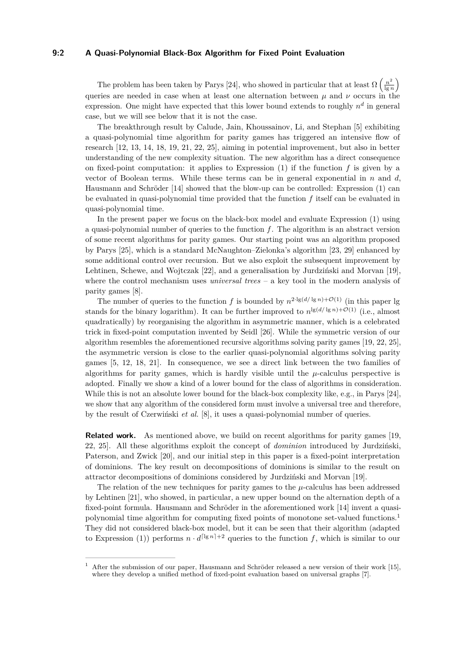### **9:2 A Quasi-Polynomial Black-Box Algorithm for Fixed Point Evaluation**

The problem has been taken by Parys [\[24\]](#page-17-0), who showed in particular that at least  $\Omega\left(\frac{n^2}{\ln n}\right)$  $\frac{n^2}{\lg n}$ queries are needed in case when at least one alternation between  $\mu$  and  $\nu$  occurs in the expression. One might have expected that this lower bound extends to roughly *n d* in general case, but we will see below that it is not the case.

The breakthrough result by Calude, Jain, Khoussainov, Li, and Stephan [\[5\]](#page-16-3) exhibiting a quasi-polynomial time algorithm for parity games has triggered an intensive flow of research [\[12,](#page-16-4) [13,](#page-16-5) [14,](#page-16-6) [18,](#page-17-1) [19,](#page-17-2) [21,](#page-17-3) [22,](#page-17-4) [25\]](#page-17-5), aiming in potential improvement, but also in better understanding of the new complexity situation. The new algorithm has a direct consequence on fixed-point computation: it applies to Expression  $(1)$  if the function  $f$  is given by a vector of Boolean terms. While these terms can be in general exponential in *n* and *d*, Hausmann and Schröder [\[14\]](#page-16-6) showed that the blow-up can be controlled: Expression [\(1\)](#page-0-0) can be evaluated in quasi-polynomial time provided that the function *f* itself can be evaluated in quasi-polynomial time.

In the present paper we focus on the black-box model and evaluate Expression [\(1\)](#page-0-0) using a quasi-polynomial number of queries to the function *f*. The algorithm is an abstract version of some recent algorithms for parity games. Our starting point was an algorithm proposed by Parys [\[25\]](#page-17-5), which is a standard McNaughton–Zielonka's algorithm [\[23,](#page-17-6) [29\]](#page-17-7) enhanced by some additional control over recursion. But we also exploit the subsequent improvement by Lehtinen, Schewe, and Wojtczak [\[22\]](#page-17-4), and a generalisation by Jurdziński and Morvan [\[19\]](#page-17-2), where the control mechanism uses *universal trees* – a key tool in the modern analysis of parity games [\[8\]](#page-16-7).

The number of queries to the function f is bounded by  $n^{2 \cdot \lg(d/\lg n) + \mathcal{O}(1)}$  (in this paper lg stands for the binary logarithm). It can be further improved to  $n^{\lg(d/\lg n)+\mathcal{O}(1)}$  (i.e., almost quadratically) by reorganising the algorithm in asymmetric manner, which is a celebrated trick in fixed-point computation invented by Seidl [\[26\]](#page-17-8). While the symmetric version of our algorithm resembles the aforementioned recursive algorithms solving parity games [\[19,](#page-17-2) [22,](#page-17-4) [25\]](#page-17-5), the asymmetric version is close to the earlier quasi-polynomial algorithms solving parity games [\[5,](#page-16-3) [12,](#page-16-4) [18,](#page-17-1) [21\]](#page-17-3). In consequence, we see a direct link between the two families of algorithms for parity games, which is hardly visible until the  $\mu$ -calculus perspective is adopted. Finally we show a kind of a lower bound for the class of algorithms in consideration. While this is not an absolute lower bound for the black-box complexity like, e.g., in Parys [\[24\]](#page-17-0), we show that any algorithm of the considered form must involve a universal tree and therefore, by the result of Czerwiński *et al.* [\[8\]](#page-16-7), it uses a quasi-polynomial number of queries.

**Related work.** As mentioned above, we build on recent algorithms for parity games [\[19,](#page-17-2) [22,](#page-17-4) [25\]](#page-17-5). All these algorithms exploit the concept of *dominion* introduced by Jurdziński, Paterson, and Zwick [\[20\]](#page-17-9), and our initial step in this paper is a fixed-point interpretation of dominions. The key result on decompositions of dominions is similar to the result on attractor decompositions of dominions considered by Jurdziński and Morvan [\[19\]](#page-17-2).

The relation of the new techniques for parity games to the  $\mu$ -calculus has been addressed by Lehtinen [\[21\]](#page-17-3), who showed, in particular, a new upper bound on the alternation depth of a fixed-point formula. Hausmann and Schröder in the aforementioned work [\[14\]](#page-16-6) invent a quasipolynomial time algorithm for computing fixed points of monotone set-valued functions.[1](#page-1-0) They did not considered black-box model, but it can be seen that their algorithm (adapted to Expression [\(1\)](#page-0-0)) performs  $n \cdot d^{\lceil \lg n \rceil + 2}$  queries to the function f, which is similar to our

<span id="page-1-0"></span><sup>1</sup> After the submission of our paper, Hausmann and Schröder released a new version of their work [\[15\]](#page-16-8), where they develop a unified method of fixed-point evaluation based on universal graphs [\[7\]](#page-16-9).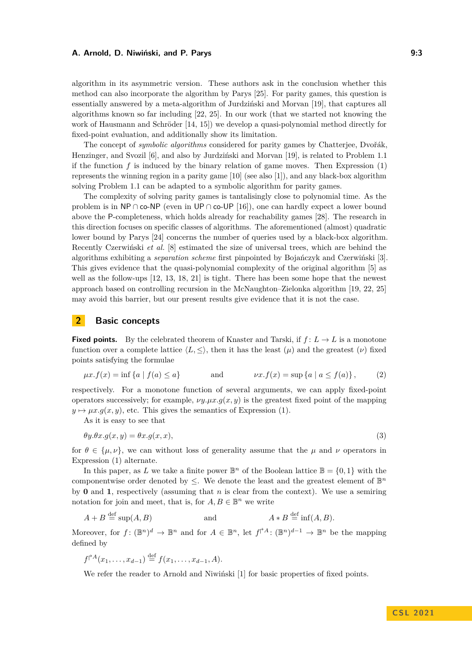algorithm in its asymmetric version. These authors ask in the conclusion whether this method can also incorporate the algorithm by Parys [\[25\]](#page-17-5). For parity games, this question is essentially answered by a meta-algorithm of Jurdziński and Morvan [\[19\]](#page-17-2), that captures all algorithms known so far including [\[22,](#page-17-4) [25\]](#page-17-5). In our work (that we started not knowing the work of Hausmann and Schröder [\[14,](#page-16-6) [15\]](#page-16-8)) we develop a quasi-polynomial method directly for fixed-point evaluation, and additionally show its limitation.

The concept of *symbolic algorithms* considered for parity games by Chatterjee, Dvořák, Henzinger, and Svozil [\[6\]](#page-16-10), and also by Jurdziński and Morvan [\[19\]](#page-17-2), is related to Problem [1.1](#page-0-1) if the function  $f$  is induced by the binary relation of game moves. Then Expression  $(1)$ represents the winning region in a parity game  $[10]$  (see also  $[1]$ ), and any black-box algorithm solving Problem [1.1](#page-0-1) can be adapted to a symbolic algorithm for parity games.

The complexity of solving parity games is tantalisingly close to polynomial time. As the problem is in NP ∩ co-NP (even in UP ∩ co-UP [\[16\]](#page-16-11)), one can hardly expect a lower bound above the P-completeness, which holds already for reachability games [\[28\]](#page-17-10). The research in this direction focuses on specific classes of algorithms. The aforementioned (almost) quadratic lower bound by Parys [\[24\]](#page-17-0) concerns the number of queries used by a black-box algorithm. Recently Czerwiński *et al.* [\[8\]](#page-16-7) estimated the size of universal trees, which are behind the algorithms exhibiting a *separation scheme* first pinpointed by Bojańczyk and Czerwiński [\[3\]](#page-16-12). This gives evidence that the quasi-polynomial complexity of the original algorithm [\[5\]](#page-16-3) as well as the follow-ups [\[12,](#page-16-4) [13,](#page-16-5) [18,](#page-17-1) [21\]](#page-17-3) is tight. There has been some hope that the newest approach based on controlling recursion in the McNaughton–Zielonka algorithm [\[19,](#page-17-2) [22,](#page-17-4) [25\]](#page-17-5) may avoid this barrier, but our present results give evidence that it is not the case.

### **2 Basic concepts**

**Fixed points.** By the celebrated theorem of Knaster and Tarski, if  $f: L \to L$  is a monotone function over a complete lattice  $\langle L, \leq \rangle$ , then it has the least  $(\mu)$  and the greatest  $(\nu)$  fixed points satisfying the formulae

<span id="page-2-1"></span>
$$
\mu x.f(x) = \inf \{a \mid f(a) \le a\}
$$
 and  $\nu x.f(x) = \sup \{a \mid a \le f(a)\}\,$  (2)

respectively. For a monotone function of several arguments, we can apply fixed-point operators successively; for example,  $\nu y.\mu x.g(x, y)$  is the greatest fixed point of the mapping  $y \mapsto \mu x.g(x, y)$ , etc. This gives the semantics of Expression [\(1\)](#page-0-0).

As it is easy to see that

<span id="page-2-0"></span>
$$
\theta y. \theta x. g(x, y) = \theta x. g(x, x), \tag{3}
$$

for  $\theta \in {\{\mu, \nu\}}$ , we can without loss of generality assume that the  $\mu$  and  $\nu$  operators in Expression [\(1\)](#page-0-0) alternate.

In this paper, as *L* we take a finite power  $\mathbb{B}^n$  of the Boolean lattice  $\mathbb{B} = \{0, 1\}$  with the componentwise order denoted by  $\leq$ . We denote the least and the greatest element of  $\mathbb{B}^n$ by **0** and **1**, respectively (assuming that *n* is clear from the context). We use a semiring notation for join and meet, that is, for  $A, B \in \mathbb{B}^n$  we write

$$
A + B \stackrel{\text{def}}{=} \sup(A, B) \qquad \text{and} \qquad A * B \stackrel{\text{def}}{=} \inf(A, B).
$$

Moreover, for  $f: (\mathbb{B}^n)^d \to \mathbb{B}^n$  and for  $A \in \mathbb{B}^n$ , let  $f \nmid A: (\mathbb{B}^n)^{d-1} \to \mathbb{B}^n$  be the mapping defined by

$$
f^{\dagger A}(x_1,\ldots,x_{d-1}) \stackrel{\text{def}}{=} f(x_1,\ldots,x_{d-1},A).
$$

We refer the reader to Arnold and Niwiński [\[1\]](#page-15-0) for basic properties of fixed points.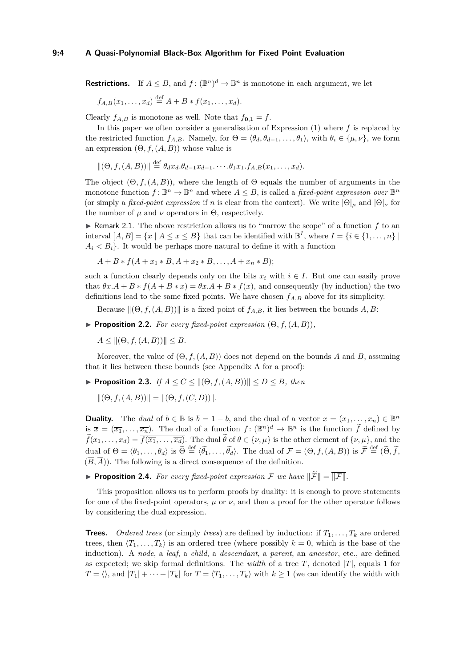### **9:4 A Quasi-Polynomial Black-Box Algorithm for Fixed Point Evaluation**

**Restrictions.** If  $A \leq B$ , and  $f: (\mathbb{B}^n)^d \to \mathbb{B}^n$  is monotone in each argument, we let

$$
f_{A,B}(x_1,...,x_d) \stackrel{\text{def}}{=} A + B * f(x_1,...,x_d).
$$

Clearly  $f_{A,B}$  is monotone as well. Note that  $f_{0,1} = f$ .

In this paper we often consider a generalisation of Expression [\(1\)](#page-0-0) where *f* is replaced by the restricted function  $f_{A,B}$ . Namely, for  $\Theta = \langle \theta_d, \theta_{d-1}, \ldots, \theta_1 \rangle$ , with  $\theta_i \in {\{\mu, \nu\}}$ , we form an expression  $(\Theta, f, (A, B))$  whose value is

$$
\|(\Theta, f, (A, B))\| \stackrel{\text{def}}{=} \theta_d x_d \cdot \theta_{d-1} x_{d-1} \cdots \cdot \theta_1 x_1 \cdot f_{A,B}(x_1, \ldots, x_d).
$$

The object  $(\Theta, f, (A, B))$ , where the length of  $\Theta$  equals the number of arguments in the monotone function  $f: \mathbb{B}^n \to \mathbb{B}^n$  and where  $A \leq B$ , is called a *fixed-point expression over*  $\mathbb{B}^n$ (or simply a *fixed-point expression* if *n* is clear from the context). We write  $|\Theta|_{\mu}$  and  $|\Theta|_{\nu}$  for the number of  $\mu$  and  $\nu$  operators in  $\Theta$ , respectively.

 $\triangleright$  Remark 2.1. The above restriction allows us to "narrow the scope" of a function  $f$  to an interval  $[A, B] = \{x \mid A \le x \le B\}$  that can be identified with  $\mathbb{B}^I$ , where  $I = \{i \in \{1, ..., n\} \mid$  $A_i \n\leq B_i$ . It would be perhaps more natural to define it with a function

 $A + B * f(A + x_1 * B, A + x_2 * B, \ldots, A + x_n * B);$ 

such a function clearly depends only on the bits  $x_i$  with  $i \in I$ . But one can easily prove that  $\theta x.A + B * f(A + B * x) = \theta x.A + B * f(x)$ , and consequently (by induction) the two definitions lead to the same fixed points. We have chosen *fA,B* above for its simplicity.

Because  $\|(\Theta, f, (A, B))\|$  is a fixed point of  $f_{A,B}$ , it lies between the bounds *A, B*:

<span id="page-3-1"></span>**Proposition 2.2.** *For every fixed-point expression*  $(\Theta, f, (A, B))$ *,* 

 $A \leq ||(\Theta, f, (A, B))|| \leq B.$ 

Moreover, the value of  $(\Theta, f, (A, B))$  does not depend on the bounds *A* and *B*, assuming that it lies between these bounds (see Appendix [A](#page-17-11) for a proof):

<span id="page-3-0"></span>▶ **Proposition 2.3.** *If*  $A \le C \le ||(\Theta, f, (A, B))|| \le D \le B$ *, then* 

 $\|(\Theta, f, (A, B))\| = \|(\Theta, f, (C, D))\|.$ 

**Duality.** The *dual* of  $b \in \mathbb{B}$  is  $\overline{b} = 1 - b$ , and the dual of a vector  $x = (x_1, \ldots, x_n) \in \mathbb{B}^n$ is  $\overline{x} = (\overline{x_1}, \ldots, \overline{x_n})$ . The dual of a function  $f: (\mathbb{B}^n)^d \to \mathbb{B}^n$  is the function  $\widetilde{f}$  defined by  $\widetilde{f}(x_1,\ldots,x_d)=\overline{f(\overline{x_1},\ldots,\overline{x_d})}$ . The dual  $\widetilde{\theta}$  of  $\theta \in {\{\nu,\mu\}}$  is the other element of  ${\{\nu,\mu\}}$ , and the dual of  $\Theta = \langle \theta_1, \ldots, \theta_d \rangle$  is  $\widetilde{\Theta} \stackrel{\text{def}}{=} \langle \widetilde{\theta_1}, \ldots, \widetilde{\theta_d} \rangle$ . The dual of  $\mathcal{F} = (\Theta, f, (A, B))$  is  $\widetilde{\mathcal{F}} \stackrel{\text{def}}{=} (\widetilde{\Theta}, \widetilde{f}, A)$  $(\overline{B}, \overline{A})$ . The following is a direct consequence of the definition.

<span id="page-3-2"></span>**Proposition 2.4.** For every fixed-point expression F we have  $\|\widetilde{F}\| = \|\overline{F}\|$ .

This proposition allows us to perform proofs by duality: it is enough to prove statements for one of the fixed-point operators,  $\mu$  or  $\nu$ , and then a proof for the other operator follows by considering the dual expression.

**Trees.** *Ordered trees* (or simply *trees*) are defined by induction: if  $T_1, \ldots, T_k$  are ordered trees, then  $\langle T_1, \ldots, T_k \rangle$  is an ordered tree (where possibly  $k = 0$ , which is the base of the induction). A *node*, a *leaf*, a *child*, a *descendant*, a *parent*, an *ancestor*, etc., are defined as expected; we skip formal definitions. The *width* of a tree  $T$ , denoted  $|T|$ , equals 1 for  $T = \langle \rangle$ , and  $|T_1| + \cdots + |T_k|$  for  $T = \langle T_1, \ldots, T_k \rangle$  with  $k \geq 1$  (we can identify the width with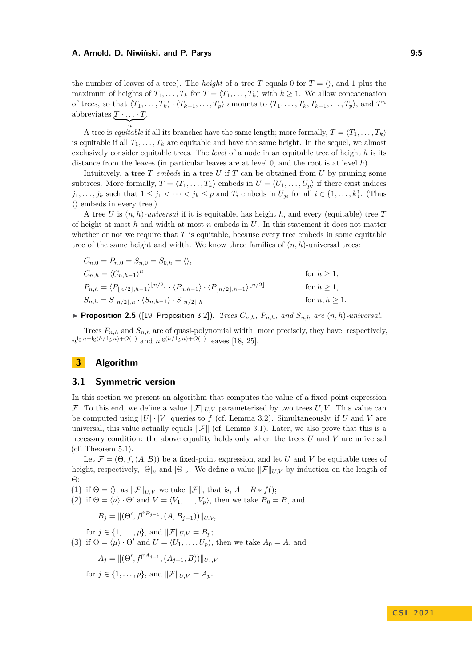the number of leaves of a tree). The *height* of a tree T equals 0 for  $T = \langle \rangle$ , and 1 plus the maximum of heights of  $T_1, \ldots, T_k$  for  $T = \langle T_1, \ldots, T_k \rangle$  with  $k \geq 1$ . We allow concatenation of trees, so that  $\langle T_1, \ldots, T_k \rangle \cdot \langle T_{k+1}, \ldots, T_p \rangle$  amounts to  $\langle T_1, \ldots, T_k, T_{k+1}, \ldots, T_p \rangle$ , and  $T^n$ abbreviates  $T \cdot \ldots \cdot T$ .

 $\overline{\phantom{a}n}$ *n* A tree is *equitable* if all its branches have the same length; more formally,  $T = \langle T_1, \ldots, T_k \rangle$ is equitable if all  $T_1, \ldots, T_k$  are equitable and have the same height. In the sequel, we almost exclusively consider equitable trees. The *level* of a node in an equitable tree of height *h* is its distance from the leaves (in particular leaves are at level 0, and the root is at level *h*).

Intuitively, a tree *T embeds* in a tree *U* if *T* can be obtained from *U* by pruning some subtrees. More formally,  $T = \langle T_1, \ldots, T_k \rangle$  embeds in  $U = \langle U_1, \ldots, U_p \rangle$  if there exist indices  $j_1, \ldots, j_k$  such that  $1 \leq j_1 < \cdots < j_k \leq p$  and  $T_i$  embeds in  $U_{j_i}$  for all  $i \in \{1, \ldots, k\}$ . (Thus  $\langle \rangle$  embeds in every tree.)

A tree *U* is (*n, h*)*-universal* if it is equitable, has height *h*, and every (equitable) tree *T* of height at most *h* and width at most *n* embeds in *U*. In this statement it does not matter whether or not we require that *T* is equitable, because every tree embeds in some equitable tree of the same height and width. We know three families of  $(n, h)$ -universal trees:

$$
C_{n,0} = P_{n,0} = S_{n,0} = S_{0,h} = \langle \rangle,
$$
  
\n
$$
C_{n,h} = \langle C_{n,h-1} \rangle^n
$$
 for  $h \ge 1$ ,  
\n
$$
P_{n,h} = \langle P_{\lfloor n/2 \rfloor, h-1} \rangle^{\lfloor n/2 \rfloor} \cdot \langle P_{n,h-1} \rangle \cdot \langle P_{\lfloor n/2 \rfloor, h-1} \rangle^{\lfloor n/2 \rfloor}
$$
 for  $h \ge 1$ ,  
\n
$$
S_{n,h} = S_{\lfloor n/2 \rfloor, h} \cdot \langle S_{n,h-1} \rangle \cdot S_{\lfloor n/2 \rfloor, h}
$$
 for  $n, h \ge 1$ .

<span id="page-4-4"></span>**Proposition 2.5** ([\[19,](#page-17-2) Proposition 3.2]). *Trees*  $C_{n,h}$ ,  $P_{n,h}$ , and  $S_{n,h}$  are  $(n,h)$ *-universal.* 

Trees  $P_{n,h}$  and  $S_{n,h}$  are of quasi-polynomial width; more precisely, they have, respectively,  $n^{\lg n + \lg(h/\lg n) + O(1)}$  and  $n^{\lg(h/\lg n) + O(1)}$  leaves [\[18,](#page-17-1) [25\]](#page-17-5).

### <span id="page-4-6"></span>**3 Algorithm**

### <span id="page-4-5"></span>**3.1 Symmetric version**

In this section we present an algorithm that computes the value of a fixed-point expression F. To this end, we define a value  $||\mathcal{F}||_{U,V}$  parameterised by two trees *U, V*. This value can be computed using  $|U| \cdot |V|$  queries to f (cf. Lemma [3.2\)](#page-5-0). Simultaneously, if U and V are universal, this value actually equals  $\|\mathcal{F}\|$  (cf. Lemma [3.1\)](#page-4-0). Later, we also prove that this is a necessary condition: the above equality holds only when the trees *U* and *V* are universal (cf. Theorem  $5.1$ ).

Let  $\mathcal{F} = (\Theta, f, (A, B))$  be a fixed-point expression, and let *U* and *V* be equitable trees of height, respectively,  $|\Theta|_{\mu}$  and  $|\Theta|_{\nu}$ . We define a value  $||\mathcal{F}||_{U,V}$  by induction on the length of Θ:

<span id="page-4-1"></span>**(1)** if  $\Theta = \langle \rangle$ , as  $\|\mathcal{F}\|_{U,V}$  we take  $\|\mathcal{F}\|$ , that is,  $A + B * f()$ ;

<span id="page-4-2"></span>**(2)** if  $\Theta = \langle \nu \rangle \cdot \Theta'$  and  $V = \langle V_1, \ldots, V_p \rangle$ , then we take  $B_0 = B$ , and

$$
B_j = ||(\Theta', f^{\dagger^{B_{j-1}}}, (A, B_{j-1}))||_{U, V_j}
$$

<span id="page-4-3"></span>for  $j \in \{1, ..., p\}$ , and  $||\mathcal{F}||_{U,V} = B_p$ ; **(3)** if  $\Theta = \langle \mu \rangle \cdot \Theta'$  and  $U = \langle U_1, \ldots, U_p \rangle$ , then we take  $A_0 = A$ , and

$$
A_j = ||(\Theta', f^{\uparrow A_{j-1}}, (A_{j-1}, B))||_{U_j, V}
$$

<span id="page-4-0"></span>for  $j \in \{1, ..., p\}$ , and  $||\mathcal{F}||_{U,V} = A_p$ .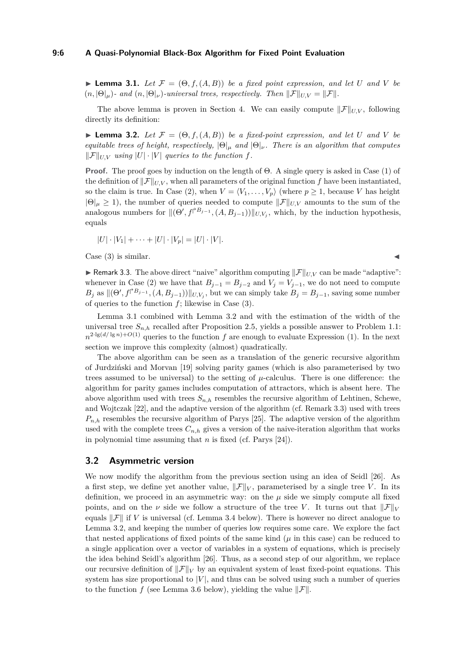### **9:6 A Quasi-Polynomial Black-Box Algorithm for Fixed Point Evaluation**

 $\blacktriangleright$  **Lemma 3.1.** Let  $\mathcal{F} = (\Theta, f, (A, B))$  be a fixed point expression, and let U and V be  $(n, |\Theta|_\mu)$ - and  $(n, |\Theta|_\nu)$ -universal trees, respectively. Then  $||\mathcal{F}||_{U,V} = ||\mathcal{F}||$ .

The above lemma is proven in Section [4.](#page-8-0) We can easily compute  $\|\mathcal{F}\|_{U,V}$ , following directly its definition:

<span id="page-5-0"></span> $\blacktriangleright$  **Lemma 3.2.** Let  $\mathcal{F} = (\Theta, f, (A, B))$  be a fixed-point expression, and let U and V be *equitable trees of height, respectively,* |Θ|*<sup>µ</sup> and* |Θ|*ν. There is an algorithm that computes*  $||\mathcal{F}||_{UV}$  *using*  $|U| \cdot |V|$  *queries to the function f.* 

**Proof.** The proof goes by induction on the length of Θ. A single query is asked in Case [\(1\)](#page-4-1) of the definition of  $\|\mathcal{F}\|_{UV}$ , when all parameters of the original function *f* have been instantiated, so the claim is true. In Case [\(2\)](#page-4-2), when  $V = \langle V_1, \ldots, V_p \rangle$  (where  $p \geq 1$ , because *V* has height  $|\Theta|\mu \geq 1$ , the number of queries needed to compute  $||\mathcal{F}||_{U,V}$  amounts to the sum of the analogous numbers for  $\|(\Theta', f^{\dagger B_{j-1}}, (A, B_{j-1}))\|_{U,V_j}$ , which, by the induction hypothesis, equals

$$
|U|\cdot |V_1|+\cdots+|U|\cdot |V_p|=|U|\cdot |V|.
$$

Case  $(3)$  is similar.

<span id="page-5-1"></span>**If Remark 3.3.** The above direct "naive" algorithm computing  $\|\mathcal{F}\|_{U,V}$  can be made "adaptive": whenever in Case [\(2\)](#page-4-2) we have that  $B_{j-1} = B_{j-2}$  and  $V_j = V_{j-1}$ , we do not need to compute  $B_j$  as  $\|(\Theta', f^{\dagger B_{j-1}}, (A, B_{j-1}))\|_{U, V_j}$ , but we can simply take  $B_j = B_{j-1}$ , saving some number of queries to the function *f*; likewise in Case [\(3\)](#page-4-3).

Lemma [3.1](#page-4-0) combined with Lemma [3.2](#page-5-0) and with the estimation of the width of the universal tree  $S_{n,h}$  recalled after Proposition [2.5,](#page-4-4) yields a possible answer to Problem [1.1:](#page-0-1)  $n^{2 \cdot \lg(d/\lg n) + O(1)}$  $n^{2 \cdot \lg(d/\lg n) + O(1)}$  $n^{2 \cdot \lg(d/\lg n) + O(1)}$  queries to the function *f* are enough to evaluate Expression (1). In the next section we improve this complexity (almost) quadratically.

The above algorithm can be seen as a translation of the generic recursive algorithm of Jurdziński and Morvan [\[19\]](#page-17-2) solving parity games (which is also parameterised by two trees assumed to be universal) to the setting of  $\mu$ -calculus. There is one difference: the algorithm for parity games includes computation of attractors, which is absent here. The above algorithm used with trees  $S_{n,h}$  resembles the recursive algorithm of Lehtinen, Schewe, and Wojtczak [\[22\]](#page-17-4), and the adaptive version of the algorithm (cf. Remark [3.3\)](#page-5-1) used with trees  $P_{n,h}$  resembles the recursive algorithm of Parys [\[25\]](#page-17-5). The adaptive version of the algorithm used with the complete trees  $C_{n,h}$  gives a version of the naive-iteration algorithm that works in polynomial time assuming that *n* is fixed (cf. Parys [\[24\]](#page-17-0)).

### **3.2 Asymmetric version**

We now modify the algorithm from the previous section using an idea of Seidl [\[26\]](#page-17-8). As a first step, we define yet another value,  $\|\mathcal{F}\|_V$ , parameterised by a single tree *V*. In its definition, we proceed in an asymmetric way: on the  $\mu$  side we simply compute all fixed points, and on the *v* side we follow a structure of the tree *V*. It turns out that  $||\mathcal{F}||_V$ equals  $\|\mathcal{F}\|$  if *V* is universal (cf. Lemma [3.4](#page-6-0) below). There is however no direct analogue to Lemma [3.2,](#page-5-0) and keeping the number of queries low requires some care. We explore the fact that nested applications of fixed points of the same kind  $(\mu$  in this case) can be reduced to a single application over a vector of variables in a system of equations, which is precisely the idea behind Seidl's algorithm [\[26\]](#page-17-8). Thus, as a second step of our algorithm, we replace our recursive definition of  $\|\mathcal{F}\|_V$  by an equivalent system of least fixed-point equations. This system has size proportional to  $|V|$ , and thus can be solved using such a number of queries to the function *f* (see Lemma [3.6](#page-7-0) below), yielding the value  $\|\mathcal{F}\|$ .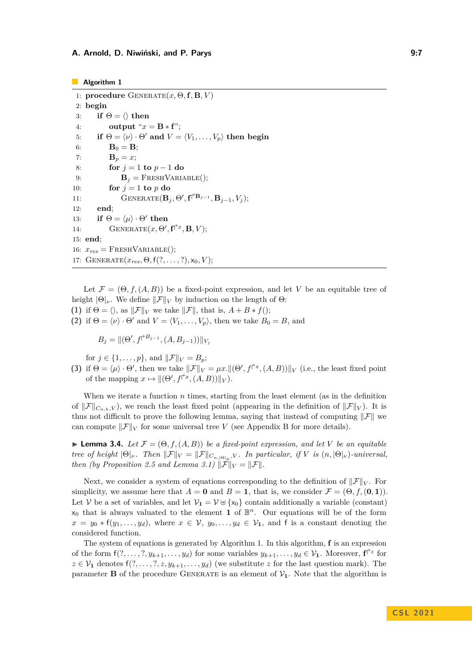#### <span id="page-6-1"></span>**Algorithm 1**

```
1: procedure \text{GENERALE}(x, \Theta, \mathbf{f}, \mathbf{B}, V)2: begin
 3: if \Theta = \langle \rangle then
 4: output "x = \mathbf{B} * \mathbf{f}";
 5: if \Theta = \langle \nu \rangle \cdot \Theta' and V = \langle V_1, \ldots, V_n \rangle then begin
 6: B<sub>0</sub> = B;
 7: B<sub>p</sub> = x;
 8: for j = 1 to p - 1 do
 9: B<sub>j</sub> = FRESHVARIABLE();
10: for j = 1 to p do
11: \text{GENERATE}(\mathbf{B}_j, \Theta', \mathbf{f} \upharpoonright^{\text{B}_{j-1}}, \mathbf{B}_{j-1}, V_j);12: end;
13: if \Theta = \langle \mu \rangle \cdot \Theta' then
14: GENERATE(x, \Theta', \mathbf{f}^{\dagger x}, \mathbf{B}, V);15: end;
16: x_{res} = FRESHVARIABLE();
17: GENERATE(x_{res}, \Theta, f(?, \ldots, ?), x_0, V);
```
Let  $\mathcal{F} = (\Theta, f, (A, B))$  be a fixed-point expression, and let *V* be an equitable tree of height  $|\Theta|_{\nu}$ . We define  $||\mathcal{F}||_V$  by induction on the length of  $\Theta$ : **(1)** if  $\Theta = \langle \rangle$ , as  $\|\mathcal{F}\|_V$  we take  $\|\mathcal{F}\|$ , that is,  $A + B * f($ ;

**(2)** if  $\Theta = \langle \nu \rangle \cdot \Theta'$  and  $V = \langle V_1, \ldots, V_p \rangle$ , then we take  $B_0 = B$ , and

$$
B_j = ||(\Theta', f^{\uparrow B_{j-1}}, (A, B_{j-1}))||_{V_j}
$$

for  $j \in \{1, \ldots, p\}$ , and  $\|\mathcal{F}\|_V = B_p$ ;

**(3)** if  $\Theta = \langle \mu \rangle \cdot \Theta'$ , then we take  $\Vert \mathcal{F} \Vert_V = \mu x \cdot \Vert (\Theta', f^{\uparrow x}, (A, B)) \Vert_V$  (i.e., the least fixed point of the mapping  $x \mapsto ||(\Theta', f^{\dagger x}, (A, B))||_V$ .

When we iterate a function *n* times, starting from the least element (as in the definition of  $\|\mathcal{F}\|_{C_n}$ <sub>*n*</sub>,*V*, we reach the least fixed point (appearing in the definition of  $\|\mathcal{F}\|_{V}$ ). It is thus not difficult to prove the following lemma, saying that instead of computing  $\|\mathcal{F}\|$  we can compute  $\|\mathcal{F}\|_V$  for some universal tree *V* (see Appendix [B](#page-18-0) for more details).

<span id="page-6-0"></span>**I Lemma 3.4.** *Let*  $\mathcal{F} = (\Theta, f, (A, B))$  *be a fixed-point expression, and let V be an equitable tree of height*  $|\Theta|_{\nu}$ *. Then*  $||\mathcal{F}||_V = ||\mathcal{F}||_{C_{n,|\Theta|_{\mu}}, V}$ *. In particular, if V is*  $(n, |\Theta|_{\nu})$ *-universal, then (by Proposition [2.5](#page-4-4) and Lemma [3.1\)](#page-4-0)*  $\|\mathcal{F}\|_V = \|\mathcal{F}\|$ .

Next, we consider a system of equations corresponding to the definition of  $||\mathcal{F}||_V$ . For simplicity, we assume here that  $A = \mathbf{0}$  and  $B = \mathbf{1}$ , that is, we consider  $\mathcal{F} = (\Theta, f, (\mathbf{0}, \mathbf{1}))$ . Let V be a set of variables, and let  $V_1 = V \oplus \{x_0\}$  contain additionally a variable (constant)  $x_0$  that is always valuated to the element **1** of  $\mathbb{B}^n$ . Our equations will be of the form  $x = y_0 * f(y_1, \ldots, y_d)$ , where  $x \in V$ ,  $y_0, \ldots, y_d \in V_1$ , and f is a constant denoting the considered function.

The system of equations is generated by Algorithm [1.](#page-6-1) In this algorithm, **f** is an expression of the form  $f(?, \ldots,?, y_{k+1}, \ldots, y_d)$  for some variables  $y_{k+1}, \ldots, y_d \in \mathcal{V}_1$ . Moreover,  $f^{\uparrow z}$  for  $z \in V_1$  denotes  $f(?, \ldots, ', z, y_{k+1}, \ldots, y_d)$  (we substitute *z* for the last question mark). The parameter **B** of the procedure GENERATE is an element of  $V_1$ . Note that the algorithm is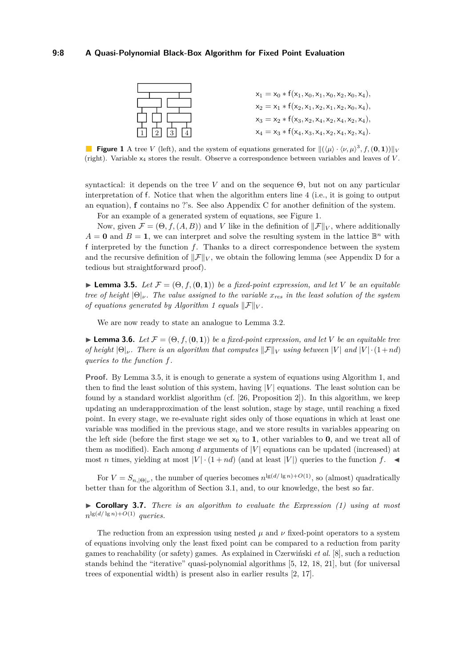### <span id="page-7-1"></span>**9:8 A Quasi-Polynomial Black-Box Algorithm for Fixed Point Evaluation**



**Figure 1** A tree *V* (left), and the system of equations generated for  $\|(\langle \mu \rangle \cdot \langle \nu, \mu \rangle^3, f, (\mathbf{0}, \mathbf{1}))\|_V$ (right). Variable x<sup>4</sup> stores the result. Observe a correspondence between variables and leaves of *V* .

syntactical: it depends on the tree *V* and on the sequence Θ, but not on any particular interpretation of f. Notice that when the algorithm enters line [4](#page-6-1) (i.e., it is going to output an equation), **f** contains no ?'s. See also Appendix [C](#page-19-0) for another definition of the system.

For an example of a generated system of equations, see Figure [1.](#page-7-1)

Now, given  $\mathcal{F} = (\Theta, f, (A, B))$  and *V* like in the definition of  $||\mathcal{F}||_V$ , where additionally  $A = \mathbf{0}$  and  $B = \mathbf{1}$ , we can interpret and solve the resulting system in the lattice  $\mathbb{B}^n$  with f interpreted by the function *f*. Thanks to a direct correspondence between the system and the recursive definition of  $\|\mathcal{F}\|_V$ , we obtain the following lemma (see Appendix [D](#page-20-0) for a tedious but straightforward proof).

<span id="page-7-2"></span> $\blacktriangleright$  **Lemma 3.5.** *Let*  $\mathcal{F} = (\Theta, f, (\mathbf{0}, \mathbf{1}))$  *be a fixed-point expression, and let V be an equitable tree of height*  $|\Theta|$ *ν. The value assigned to the variable*  $x_{res}$  *in the least solution of the system of equations generated by Algorithm [1](#page-6-1) equals*  $||\mathcal{F}||_V$ .

We are now ready to state an analogue to Lemma [3.2.](#page-5-0)

<span id="page-7-0"></span>**Lemma 3.6.** Let  $\mathcal{F} = (\Theta, f, (\mathbf{0}, \mathbf{1}))$  be a fixed-point expression, and let V be an equitable tree *of height*  $|\Theta|_{\nu}$ *. There is an algorithm that computes*  $||\mathcal{F}||_V$  *using between*  $|V|$  *and*  $|V| \cdot (1 + nd)$ *queries to the function f.*

**Proof.** By Lemma [3.5,](#page-7-2) it is enough to generate a system of equations using Algorithm [1,](#page-6-1) and then to find the least solution of this system, having |*V* | equations. The least solution can be found by a standard worklist algorithm (cf. [\[26,](#page-17-8) Proposition 2]). In this algorithm, we keep updating an underapproximation of the least solution, stage by stage, until reaching a fixed point. In every stage, we re-evaluate right sides only of those equations in which at least one variable was modified in the previous stage, and we store results in variables appearing on the left side (before the first stage we set  $x_0$  to **1**, other variables to **0**, and we treat all of them as modified). Each among  $d$  arguments of  $|V|$  equations can be updated (increased) at most *n* times, yielding at most  $|V| \cdot (1 + nd)$  (and at least  $|V|$ ) queries to the function *f*.

For  $V = S_{n, |\Theta|_\nu}$ , the number of queries becomes  $n^{\lg(d/\lg n) + O(1)}$ , so (almost) quadratically better than for the algorithm of Section [3.1,](#page-4-5) and, to our knowledge, the best so far.

<span id="page-7-3"></span>I **Corollary 3.7.** *There is an algorithm to evaluate the Expression [\(1\)](#page-0-0) using at most*  $n^{\lg(d/\lg n)+O(1)}$  *queries.* 

The reduction from an expression using nested  $\mu$  and  $\nu$  fixed-point operators to a system of equations involving only the least fixed point can be compared to a reduction from parity games to reachability (or safety) games. As explained in Czerwiński *et al.* [\[8\]](#page-16-7), such a reduction stands behind the "iterative" quasi-polynomial algorithms [\[5,](#page-16-3) [12,](#page-16-4) [18,](#page-17-1) [21\]](#page-17-3), but (for universal trees of exponential width) is present also in earlier results [\[2,](#page-15-1) [17\]](#page-17-12).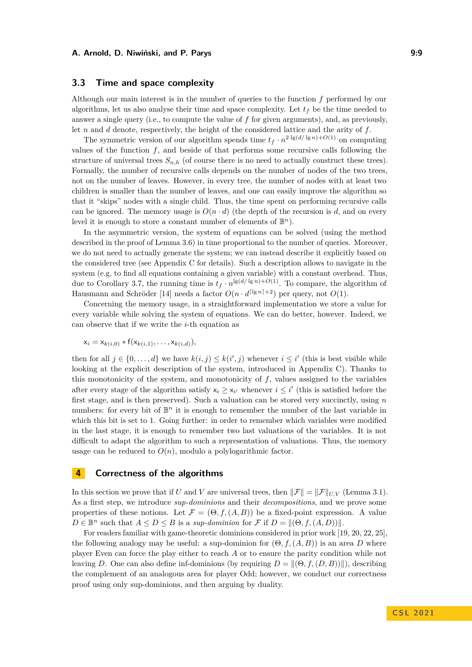### **3.3 Time and space complexity**

Although our main interest is in the number of queries to the function *f* performed by our algorithms, let us also analyse their time and space complexity. Let  $t_f$  be the time needed to answer a single query (i.e., to compute the value of *f* for given arguments), and, as previously, let *n* and *d* denote, respectively, the height of the considered lattice and the arity of *f*.

The symmetric version of our algorithm spends time  $t_f \cdot n^{2 \cdot \lg(d/\lg n) + O(1)}$  on computing values of the function  $f$ , and beside of that performs some recursive calls following the structure of universal trees  $S_{n,h}$  (of course there is no need to actually construct these trees). Formally, the number of recursive calls depends on the number of nodes of the two trees, not on the number of leaves. However, in every tree, the number of nodes with at least two children is smaller than the number of leaves, and one can easily improve the algorithm so that it "skips" nodes with a single child. Thus, the time spent on performing recursive calls can be ignored. The memory usage is  $O(n \cdot d)$  (the depth of the recursion is *d*, and on every level it is enough to store a constant number of elements of  $\mathbb{B}^n$ .

In the asymmetric version, the system of equations can be solved (using the method described in the proof of Lemma [3.6\)](#page-7-0) in time proportional to the number of queries. Moreover, we do not need to actually generate the system; we can instead describe it explicitly based on the considered tree (see Appendix [C](#page-19-0) for details). Such a description allows to navigate in the system (e.g. to find all equations containing a given variable) with a constant overhead. Thus, due to Corollary [3.7,](#page-7-3) the running time is  $t_f \cdot n^{\lg(d/\lg n) + O(1)}$ . To compare, the algorithm of Hausmann and Schröder [\[14\]](#page-16-6) needs a factor  $O(n \cdot d^{\lceil \lg n \rceil + 2})$  per query, not  $O(1)$ .

Concerning the memory usage, in a straightforward implementation we store a value for every variable while solving the system of equations. We can do better, however. Indeed, we can observe that if we write the *i*-th equation as

$$
x_i = x_{k(i,0)} * f(x_{k(i,1)},\ldots,x_{k(i,d)}),
$$

then for all  $j \in \{0, \ldots, d\}$  we have  $k(i, j) \leq k(i', j)$  whenever  $i \leq i'$  (this is best visible while looking at the explicit description of the system, introduced in Appendix [C\)](#page-19-0). Thanks to this monotonicity of the system, and monotonicity of *f*, values assigned to the variables after every stage of the algorithm satisfy  $x_i \geq x_{i'}$  whenever  $i \leq i'$  (this is satisfied before the first stage, and is then preserved). Such a valuation can be stored very succinctly, using *n* numbers: for every bit of  $\mathbb{B}^n$  it is enough to remember the number of the last variable in which this bit is set to 1. Going further: in order to remember which variables were modified in the last stage, it is enough to remember two last valuations of the variables. It is not difficult to adapt the algorithm to such a representation of valuations. Thus, the memory usage can be reduced to  $O(n)$ , modulo a polylogarithmic factor.

### <span id="page-8-0"></span>**4 Correctness of the algorithms**

In this section we prove that if *U* and *V* are universal trees, then  $\|\mathcal{F}\| = \|\mathcal{F}\|_{UV}$  (Lemma [3.1\)](#page-4-0). As a first step, we introduce *sup-dominions* and their *decompositions*, and we prove some properties of these notions. Let  $\mathcal{F} = (\Theta, f, (A, B))$  be a fixed-point expression. A value  $D \in \mathbb{B}^n$  such that  $A \le D \le B$  is a *sup-dominion* for  $\mathcal F$  if  $D = ||(\Theta, f, (A, D))||$ .

For readers familiar with game-theoretic dominions considered in prior work [\[19,](#page-17-2) [20,](#page-17-9) [22,](#page-17-4) [25\]](#page-17-5), the following analogy may be useful: a sup-dominion for  $(\Theta, f, (A, B))$  is an area *D* where player Even can force the play either to reach *A* or to ensure the parity condition while not leaving *D*. One can also define inf-dominions (by requiring  $D = ||(\Theta, f, (D, B))||$ ), describing the complement of an analogous area for player Odd; however, we conduct our correctness proof using only sup-dominions, and then arguing by duality.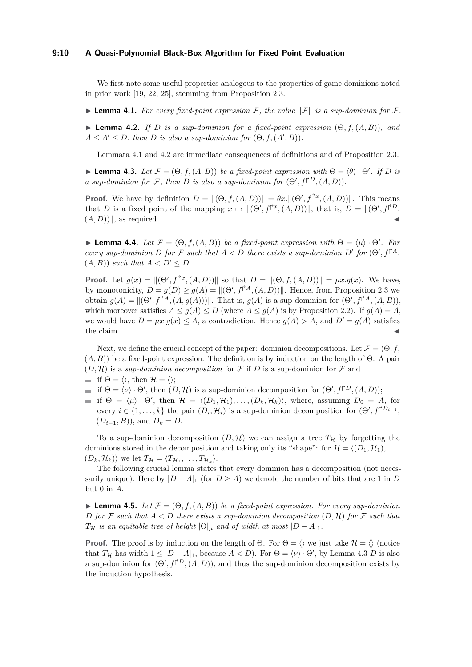### **9:10 A Quasi-Polynomial Black-Box Algorithm for Fixed Point Evaluation**

We first note some useful properties analogous to the properties of game dominions noted in prior work [\[19,](#page-17-2) [22,](#page-17-4) [25\]](#page-17-5), stemming from Proposition [2.3.](#page-3-0)

<span id="page-9-0"></span>**Lemma 4.1.** For every fixed-point expression F, the value  $||\mathcal{F}||$  is a sup-dominion for F.

<span id="page-9-1"></span> $\blacktriangleright$  **Lemma 4.2.** *If D is a sup-dominion for a fixed-point expression*  $(\Theta, f, (A, B))$ *, and*  $A \leq A' \leq D$ , then *D* is also a sup-dominion for  $(\Theta, f, (A', B))$ .

Lemmata [4.1](#page-9-0) and [4.2](#page-9-1) are immediate consequences of definitions and of Proposition [2.3.](#page-3-0)

<span id="page-9-2"></span>**I Lemma 4.3.** Let  $\mathcal{F} = (\Theta, f, (A, B))$  be a fixed-point expression with  $\Theta = \langle \theta \rangle \cdot \Theta'$ . If D is *a* sup-dominion for F, then D is also a sup-dominion for  $(\Theta', f^{\dagger D}, (A, D))$ .

**Proof.** We have by definition  $D = ||(\Theta, f, (A, D))|| = \theta x. ||(\Theta', f^{\dagger x}, (A, D))||$ . This means that *D* is a fixed point of the mapping  $x \mapsto ||(\Theta', f^{\uparrow x}, (A, D))||$ , that is,  $D = ||(\Theta', f^{\uparrow D}, f^{\uparrow x}, (A, D))||$  $(A, D))$ , as required.

<span id="page-9-3"></span>**Lemma 4.4.** *Let*  $\mathcal{F} = (\Theta, f, (A, B))$  *be a fixed-point expression with*  $\Theta = \langle \mu \rangle \cdot \Theta'$ *. For every sup-dominion D for*  $\mathcal{F}$  *such that*  $A < D$  *there exists a sup-dominion*  $D'$  *for*  $(\Theta', f^{\uparrow A}, f^{\uparrow A})$  $(A, B)$ ) *such that*  $A < D' < D$ .

**Proof.** Let  $g(x) = ||(\Theta', f^{\dagger x}, (A, D))||$  so that  $D = ||(\Theta, f, (A, D))|| = \mu x. g(x)$ . We have, by monotonicity,  $D = g(D) \geq g(A) = ||(\Theta', f^{\uparrow A}, (A, D))||$ . Hence, from Proposition [2.3](#page-3-0) we obtain  $g(A) = ||(\Theta', f^{\uparrow A}, (A, g(A)))||$ . That is,  $g(A)$  is a sup-dominion for  $(\Theta', f^{\uparrow A}, (A, B))$ , which moreover satisfies  $A \leq g(A) \leq D$  (where  $A \leq g(A)$  is by Proposition [2.2\)](#page-3-1). If  $g(A) = A$ , we would have  $D = \mu x \cdot g(x) \leq A$ , a contradiction. Hence  $g(A) > A$ , and  $D' = g(A)$  satisfies the claim.  $\blacksquare$ 

Next, we define the crucial concept of the paper: dominion decompositions. Let  $\mathcal{F} = (\Theta, f, \mathcal{F})$  $(A, B)$ ) be a fixed-point expression. The definition is by induction on the length of  $\Theta$ . A pair  $(D, \mathcal{H})$  is a *sup-dominion decomposition* for F if D is a sup-dominion for F and

$$
\quad \quad \text{if } \Theta = \langle \rangle \text{, then } \mathcal{H} = \langle \rangle;
$$

- if  $\Theta = \langle \nu \rangle \cdot \Theta'$ , then  $(D, \mathcal{H})$  is a sup-dominion decomposition for  $(\Theta', f^{\dagger D}, (A, D));$
- if  $\Theta = \langle \mu \rangle \cdot \Theta'$ , then  $\mathcal{H} = \langle (D_1, \mathcal{H}_1), \dots, (D_k, \mathcal{H}_k) \rangle$ , where, assuming  $D_0 = A$ , for every  $i \in \{1, \ldots, k\}$  the pair  $(D_i, \mathcal{H}_i)$  is a sup-dominion decomposition for  $(\Theta', f^{\dagger D_{i-1}},$  $(D_{i-1}, B)$ , and  $D_k = D$ .

To a sup-dominion decomposition  $(D, \mathcal{H})$  we can assign a tree  $T_{\mathcal{H}}$  by forgetting the dominions stored in the decomposition and taking only its "shape": for  $\mathcal{H} = \langle (D_1, \mathcal{H}_1), \dots,$  $(D_k, \mathcal{H}_k)$  we let  $T_{\mathcal{H}} = \langle T_{\mathcal{H}_1}, \ldots, T_{\mathcal{H}_k} \rangle$ .

The following crucial lemma states that every dominion has a decomposition (not necessarily unique). Here by  $|D - A|_1$  (for  $D \ge A$ ) we denote the number of bits that are 1 in *D* but 0 in *A*.

<span id="page-9-4"></span>**Lemma 4.5.** *Let*  $\mathcal{F} = (\Theta, f, (A, B))$  *be a fixed-point expression. For every sup-dominion D for*  $F$  *such that*  $A \leq D$  *there exists a sup-dominion decomposition*  $(D, \mathcal{H})$  *for*  $F$  *such that T*<sub>H</sub> *is an equitable tree of height*  $|\Theta|_u$  *and of width at most*  $|D - A|_1$ *.* 

**Proof.** The proof is by induction on the length of  $\Theta$ . For  $\Theta = \langle \rangle$  we just take  $\mathcal{H} = \langle \rangle$  (notice that  $T_H$  has width  $1 \leq |D - A|_1$ , because  $A < D$ ). For  $\Theta = \langle \nu \rangle \cdot \Theta'$ , by Lemma [4.3](#page-9-2) *D* is also a sup-dominion for  $(\Theta', f^{\dagger D}, (A, D))$ , and thus the sup-dominion decomposition exists by the induction hypothesis.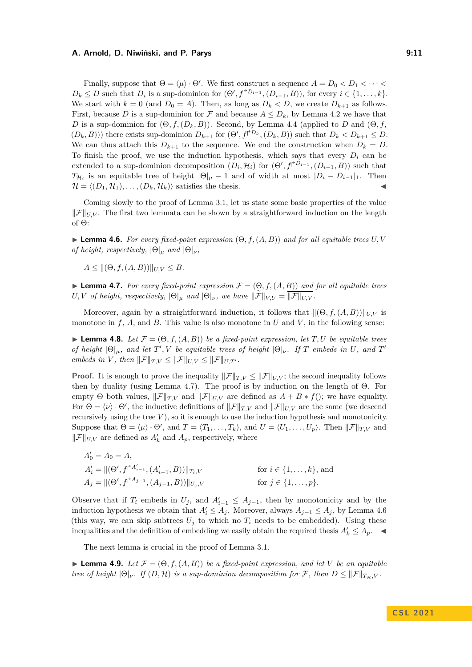### **A. Arnold, D. Niwiński, and P. Parys 6. Eq. 20. Eq. 20. Armore 19.11**

Finally, suppose that  $\Theta = \langle \mu \rangle \cdot \Theta'$ . We first construct a sequence  $A = D_0 < D_1 < \cdots <$  $D_k \leq D$  such that  $D_i$  is a sup-dominion for  $(\Theta', f^{\dagger D_{i-1}}, (D_{i-1}, B))$ , for every  $i \in \{1, \ldots, k\}$ . We start with  $k = 0$  (and  $D_0 = A$ ). Then, as long as  $D_k < D$ , we create  $D_{k+1}$  as follows. First, because *D* is a sup-dominion for *F* and because  $A \leq D_k$ , by Lemma [4.2](#page-9-1) we have that *D* is a sup-dominion for  $(\Theta, f, (D_k, B))$ . Second, by Lemma [4.4](#page-9-3) (applied to *D* and  $(\Theta, f,$  $(D_k, B)$ )) there exists sup-dominion  $D_{k+1}$  for  $(\Theta', f^{\dagger D_k}, (D_k, B))$  such that  $D_k < D_{k+1} \leq D$ . We can thus attach this  $D_{k+1}$  to the sequence. We end the construction when  $D_k = D$ . To finish the proof, we use the induction hypothesis, which says that every  $D_i$  can be extended to a sup-dominion decomposition  $(D_i, \mathcal{H}_i)$  for  $(\Theta', f^{\dagger D_{i-1}}, (D_{i-1}, B))$  such that *T*<sub>H<sub>i</sub></sub> is an equitable tree of height  $|\Theta|_{\mu} - 1$  and of width at most  $|D_i - D_{i-1}|_1$ . Then  $\mathcal{H} = \langle (D_1, \mathcal{H}_1), \dots, (D_k, \mathcal{H}_k) \rangle$  satisfies the thesis.

Coming slowly to the proof of Lemma [3.1,](#page-4-0) let us state some basic properties of the value  $\|\mathcal{F}\|_{UV}$ . The first two lemmata can be shown by a straightforward induction on the length of Θ:

<span id="page-10-1"></span>**Lemma 4.6.** *For every fixed-point expression*  $(\Theta, f, (A, B))$  *and for all equitable trees*  $U, V$ *of height, respectively,*  $|\Theta|_{\mu}$  *and*  $|\Theta|_{\nu}$ *,* 

 $A \leq ||(\Theta, f, (A, B))||_{U,V} \leq B.$ 

<span id="page-10-0"></span>**Lemma 4.7.** *For every fixed-point expression*  $\mathcal{F} = (\Theta, f, (A, B))$  *and for all equitable trees U,V of height, respectively,*  $|\Theta|_{\mu}$  *and*  $|\Theta|_{\nu}$ *, we have*  $\|\widetilde{\mathcal{F}}\|_{V,U} = \overline{\|\mathcal{F}\|_{U,V}}$ *.* 

Moreover, again by a straightforward induction, it follows that  $\|(\Theta, f, (A, B))\|_{UV}$  is monotone in  $f$ ,  $A$ , and  $B$ . This value is also monotone in  $U$  and  $V$ , in the following sense:

<span id="page-10-2"></span>**Lemma 4.8.** *Let*  $\mathcal{F} = (\Theta, f, (A, B))$  *be a fixed-point expression, let*  $T, U$  *be equitable trees of height*  $|\Theta|_{\mu}$ *, and let*  $T'$ ,  $V$  *be equitable trees of height*  $|\Theta|_{\nu}$ *. If*  $T$  *embeds in*  $U$ *, and*  $T'$ *embeds in V*, *then*  $\|\mathcal{F}\|_{T,V} \leq \|\mathcal{F}\|_{U,V} \leq \|\mathcal{F}\|_{U,T}$ .

**Proof.** It is enough to prove the inequality  $\|\mathcal{F}\|_{T,V} \le \|\mathcal{F}\|_{U,V}$ ; the second inequality follows then by duality (using Lemma [4.7\)](#page-10-0). The proof is by induction on the length of Θ. For empty  $\Theta$  both values,  $\|\mathcal{F}\|_{T,V}$  and  $\|\mathcal{F}\|_{U,V}$  are defined as  $A + B * f()$ ; we have equality. For  $\Theta = \langle \nu \rangle \cdot \Theta'$ , the inductive definitions of  $||\mathcal{F}||_{T,V}$  and  $||\mathcal{F}||_{U,V}$  are the same (we descend recursively using the tree  $V$ ), so it is enough to use the induction hypothesis and monotonicity. Suppose that  $\Theta = \langle \mu \rangle \cdot \Theta'$ , and  $T = \langle T_1, \ldots, T_k \rangle$ , and  $U = \langle U_1, \ldots, U_p \rangle$ . Then  $||\mathcal{F}||_{T,V}$  and  $||\mathcal{F}||_{U,V}$  are defined as  $A'_k$  and  $A_p$  , respectively, where

$$
A'_0 = A_0 = A,
$$
  
\n
$$
A'_i = ||(\Theta', f^{\uparrow A'_{i-1}}, (A'_{i-1}, B))||_{T_i, V}
$$
 for  $i \in \{1, ..., k\}$ , and  
\n
$$
A_j = ||(\Theta', f^{\uparrow A_{j-1}}, (A_{j-1}, B))||_{U_j, V}
$$
 for  $j \in \{1, ..., p\}$ .

Observe that if  $T_i$  embeds in  $U_j$ , and  $A'_{i-1} \leq A_{j-1}$ , then by monotonicity and by the induction hypothesis we obtain that  $A'_i \leq A_j$ . Moreover, always  $A_{j-1} \leq A_j$ , by Lemma [4.6](#page-10-1) (this way, we can skip subtrees  $U_j$  to which no  $T_i$  needs to be embedded). Using these inequalities and the definition of embedding we easily obtain the required thesis  $A'_k \leq A_p$ .

The next lemma is crucial in the proof of Lemma [3.1.](#page-4-0)

<span id="page-10-3"></span>**I Lemma 4.9.** *Let*  $\mathcal{F} = (\Theta, f, (A, B))$  *be a fixed-point expression, and let V be an equitable tree of height*  $|\Theta|_{\nu}$ *. If*  $(D, \mathcal{H})$  *is a sup-dominion decomposition for* F, then  $D \leq ||\mathcal{F}||_{T_{\mathcal{H}}}, V$ .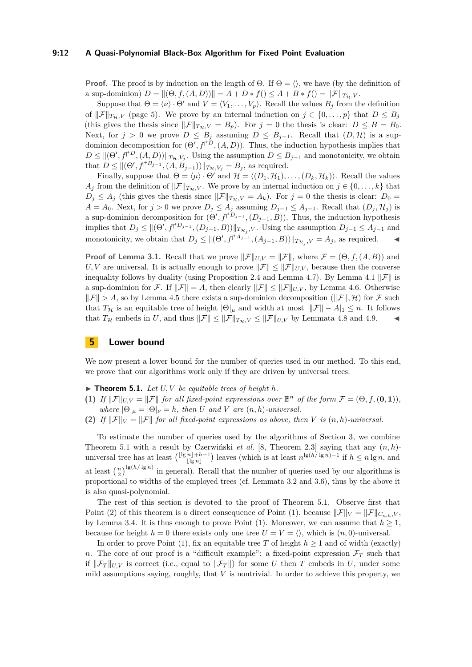### **9:12 A Quasi-Polynomial Black-Box Algorithm for Fixed Point Evaluation**

**Proof.** The proof is by induction on the length of  $\Theta$ . If  $\Theta = \langle \rangle$ , we have (by the definition of a sup-dominion)  $D = ||(\Theta, f, (A, D))|| = A + D * f() \leq A + B * f() = ||\mathcal{F}||_{T_{\mathcal{H}}}, V$ .

Suppose that  $\Theta = \langle \nu \rangle \cdot \Theta'$  and  $V = \langle V_1, \ldots, V_p \rangle$ . Recall the values  $B_j$  from the definition of  $\|\mathcal{F}\|_{T_{\mathcal{H}},V}$  (page [5\)](#page-4-2). We prove by an internal induction on  $j \in \{0,\ldots,p\}$  that  $D \leq B_j$ (this gives the thesis since  $\|\mathcal{F}\|_{T_{\mathcal{H}},V} = B_p$ ). For  $j = 0$  the thesis is clear:  $D \leq B = B_0$ . Next, for  $j > 0$  we prove  $D \leq B_j$  assuming  $D \leq B_{j-1}$ . Recall that  $(D, \mathcal{H})$  is a supdominion decomposition for  $(\Theta', f^{\dagger D}, (A, D))$ . Thus, the induction hypothesis implies that  $D \le ||(\Theta', f^{\dagger D}, (A, D))||_{T_{\mathcal{H}}, V_j}$ . Using the assumption  $D \le B_{j-1}$  and monotonicity, we obtain that  $D \leq ||(\Theta', f^{\dagger}B_{j-1}, (A, B_{j-1}))||_{T_{\mathcal{H}}, V_j} = B_j$ , as required.

Finally, suppose that  $\Theta = \langle \mu \rangle \cdot \Theta'$  and  $\mathcal{H} = \langle (D_1, \mathcal{H}_1), \dots, (D_k, \mathcal{H}_k) \rangle$ . Recall the values *A*<sup>j</sup> from the definition of  $\|\mathcal{F}\|_{T_{\mathcal{H}}V}$ . We prove by an internal induction on  $j \in \{0, \ldots, k\}$  that  $D_j \leq A_j$  (this gives the thesis since  $\|\mathcal{F}\|_{T_{\mathcal{H}},V} = A_k$ ). For  $j = 0$  the thesis is clear:  $D_0 =$  $A = A_0$ . Next, for  $j > 0$  we prove  $D_j \leq A_j$  assuming  $D_{j-1} \leq A_{j-1}$ . Recall that  $(D_j, \mathcal{H}_j)$  is a sup-dominion decomposition for  $(\Theta', f^{\dagger D_{j-1}}, (D_{j-1}, B))$ . Thus, the induction hypothesis implies that  $D_j \leq ||(\Theta^j, f^{\dagger D_{j-1}}, (D_{j-1}, B))||_{T_{\mathcal{H}_j},V}$ . Using the assumption  $D_{j-1} \leq A_{j-1}$  and monotonicity, we obtain that  $D_j \leq ||(\Theta', f^{\uparrow A_{j-1}}, (A_{j-1}, B))||_{T_{\mathcal{H}_j}, V} = A_j$ , as required.

**Proof of Lemma [3.1.](#page-4-0)** Recall that we prove  $\|\mathcal{F}\|_{UV} = \|\mathcal{F}\|$ , where  $\mathcal{F} = (\Theta, f, (A, B))$  and *U, V* are universal. It is actually enough to prove  $\|\mathcal{F}\| \le \|\mathcal{F}\|_{U,V}$ , because then the converse inequality follows by duality (using Proposition [2.4](#page-3-2) and Lemma [4.7\)](#page-10-0). By Lemma [4.1](#page-9-0)  $\|\mathcal{F}\|$  is a sup-dominion for F. If  $\|\mathcal{F}\| = A$ , then clearly  $\|\mathcal{F}\| \le \|\mathcal{F}\|_{U,V}$ , by Lemma [4.6.](#page-10-1) Otherwise  $\|\mathcal{F}\| > A$ , so by Lemma [4.5](#page-9-4) there exists a sup-dominion decomposition ( $\|\mathcal{F}\|, \mathcal{H}$ ) for  $\mathcal{F}$  such that  $T_H$  is an equitable tree of height  $|\Theta|_\mu$  and width at most  $||\mathcal{F}|| - A|_1 \leq n$ . It follows that  $T_{\mathcal{H}}$  embeds in *U*, and thus  $\|\mathcal{F}\| \le \|\mathcal{F}\|_{T_{\mathcal{H}}, V} \le \|\mathcal{F}\|_{U, V}$  by Lemmata [4.8](#page-10-2) and [4.9.](#page-10-3)

### **5 Lower bound**

We now present a lower bound for the number of queries used in our method. To this end, we prove that our algorithms work only if they are driven by universal trees:

<span id="page-11-0"></span> $\blacktriangleright$  **Theorem 5.1.** *Let U, V be equitable trees of height h.* 

- <span id="page-11-2"></span>**(1)** *If*  $||\mathcal{F}||_{U,V} = ||\mathcal{F}||$  *for all fixed-point expressions over*  $\mathbb{B}^n$  *of the form*  $\mathcal{F} = (\Theta, f, (\mathbf{0}, \mathbf{1}))$ *, where*  $|\Theta|_{\mu} = |\Theta|_{\nu} = h$ *, then U and V are*  $(n, h)$ *-universal.*
- <span id="page-11-1"></span>**(2)** If  $\|\mathcal{F}\|_V = \|\mathcal{F}\|$  for all fixed-point expressions as above, then V is  $(n, h)$ -universal.

To estimate the number of queries used by the algorithms of Section [3,](#page-4-6) we combine Theorem [5.1](#page-11-0) with a result by Czerwiński *et al.* [\[8,](#page-16-7) Theorem 2.3] saying that any (*n, h*) universal tree has at least  $\binom{\lfloor \lg n \rfloor + h - 1}{\lfloor \lg n \rfloor}$  $\binom{n}{\lfloor \lg n \rfloor}$  leaves (which is at least  $n^{\lg(h/\lg n)-1}$  if  $h \leq n \lg n$ , and at least  $\left(\frac{n}{2}\right)^{\lg(h/\lg n)}$  in general). Recall that the number of queries used by our algorithms is proportional to widths of the employed trees (cf. Lemmata [3.2](#page-5-0) and [3.6\)](#page-7-0), thus by the above it is also quasi-polynomial.

The rest of this section is devoted to the proof of Theorem [5.1.](#page-11-0) Observe first that Point [\(2\)](#page-11-1) of this theorem is a direct consequence of Point [\(1\)](#page-11-2), because  $\|\mathcal{F}\|_{V} = \|\mathcal{F}\|_{C_n}$ <sub>*h*</sub>,*V*, by Lemma [3.4.](#page-6-0) It is thus enough to prove Point [\(1\)](#page-11-2). Moreover, we can assume that  $h \geq 1$ , because for height  $h = 0$  there exists only one tree  $U = V = \langle \rangle$ , which is  $(n, 0)$ -universal.

In order to prove Point [\(1\)](#page-11-2), fix an equitable tree *T* of height  $h \ge 1$  and of width (exactly) *n*. The core of our proof is a "difficult example": a fixed-point expression  $\mathcal{F}_T$  such that if  $\|\mathcal{F}_T\|_{U,V}$  is correct (i.e., equal to  $\|\mathcal{F}_T\|$ ) for some *U* then *T* embeds in *U*, under some mild assumptions saying, roughly, that *V* is nontrivial. In order to achieve this property, we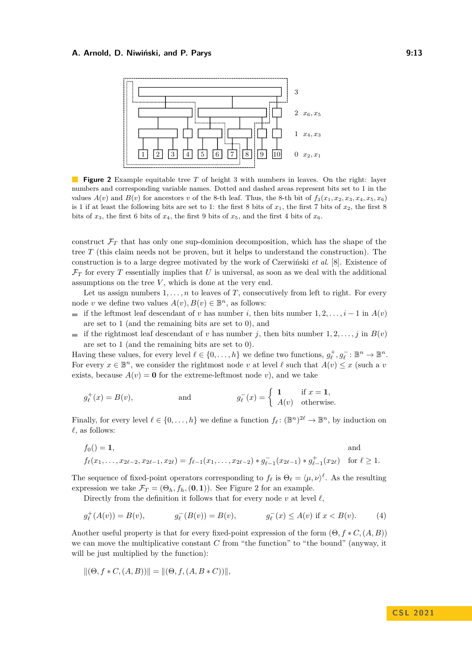<span id="page-12-0"></span>

**Figure 2** Example equitable tree *T* of height 3 with numbers in leaves. On the right: layer numbers and corresponding variable names. Dotted and dashed areas represent bits set to 1 in the values  $A(v)$  and  $B(v)$  for ancestors *v* of the 8-th leaf. Thus, the 8-th bit of  $f_3(x_1, x_2, x_3, x_4, x_5, x_6)$ is 1 if at least the following bits are set to 1: the first 8 bits of  $x_1$ , the first 7 bits of  $x_2$ , the first 8 bits of  $x_3$ , the first 6 bits of  $x_4$ , the first 9 bits of  $x_5$ , and the first 4 bits of  $x_6$ .

construct  $\mathcal{F}_T$  that has only one sup-dominion decomposition, which has the shape of the tree *T* (this claim needs not be proven, but it helps to understand the construction). The construction is to a large degree motivated by the work of Czerwiński *et al.* [\[8\]](#page-16-7). Existence of  $\mathcal{F}_T$  for every *T* essentially implies that *U* is universal, as soon as we deal with the additional assumptions on the tree *V* , which is done at the very end.

Let us assign numbers  $1, \ldots, n$  to leaves of *T*, consecutively from left to right. For every node *v* we define two values  $A(v), B(v) \in \mathbb{B}^n$ , as follows:

- if the leftmost leaf descendant of *v* has number *i*, then bits number  $1, 2, \ldots, i-1$  in  $A(v)$ are set to 1 (and the remaining bits are set to 0), and
- if the rightmost leaf descendant of *v* has number *j*, then bits number 1, 2, ..., *j* in  $B(v)$ are set to 1 (and the remaining bits are set to 0).

Having these values, for every level  $\ell \in \{0, \ldots, h\}$  we define two functions,  $g_{\ell}^+, g_{\ell}^- : \mathbb{B}^n \to \mathbb{B}^n$ . For every  $x \in \mathbb{B}^n$ , we consider the rightmost node *v* at level  $\ell$  such that  $A(v) \leq x$  (such a *v* exists, because  $A(v) = \mathbf{0}$  for the extreme-leftmost node *v*), and we take

$$
g_{\ell}^+(x) = B(v)
$$
, and  $g_{\ell}^-(x) = \begin{cases} 1 & \text{if } x = 1, \\ A(v) & \text{otherwise.} \end{cases}$ 

Finally, for every level  $\ell \in \{0, \ldots, h\}$  we define a function  $f_{\ell} : (\mathbb{B}^n)^{2\ell} \to \mathbb{B}^n$ , by induction on  $\ell$ , as follows:

$$
f_0() = 1, \qquad \text{and}
$$
  

$$
f_{\ell}(x_1, \ldots, x_{2\ell-2}, x_{2\ell-1}, x_{2\ell}) = f_{\ell-1}(x_1, \ldots, x_{2\ell-2}) * g_{\ell-1}^-(x_{2\ell-1}) * g_{\ell-1}^+(x_{2\ell}) \quad \text{for } \ell \ge 1.
$$

The sequence of fixed-point operators corresponding to  $f_\ell$  is  $\Theta_\ell = \langle \mu, \nu \rangle^\ell$ . As the resulting expression we take  $\mathcal{F}_T = (\Theta_h, f_h, (\mathbf{0}, \mathbf{1}))$ . See Figure [2](#page-12-0) for an example.

Directly from the definition it follows that for every node  $v$  at level  $\ell$ ,

$$
g_{\ell}^{+}(A(v)) = B(v), \qquad g_{\ell}^{-}(B(v)) = B(v), \qquad g_{\ell}^{-}(x) \le A(v) \text{ if } x < B(v). \tag{4}
$$

Another useful property is that for every fixed-point expression of the form  $(\Theta, f * C, (A, B))$ we can move the multiplicative constant *C* from "the function" to "the bound" (anyway, it will be just multiplied by the function):

$$
\|(\Theta, f * C, (A, B))\| = \|(\Theta, f, (A, B * C))\|,
$$

### <span id="page-12-1"></span>**C S L 2 0 2 1**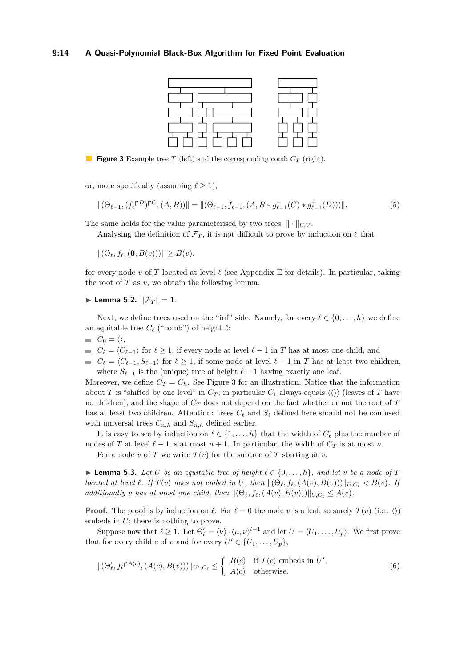### <span id="page-13-0"></span>**9:14 A Quasi-Polynomial Black-Box Algorithm for Fixed Point Evaluation**

<span id="page-13-1"></span>

**Figure 3** Example tree *T* (left) and the corresponding comb *C<sup>T</sup>* (right).

or, more specifically (assuming  $\ell \geq 1$ ),

$$
\|(\Theta_{\ell-1}, (f_{\ell} \upharpoonright^D) \upharpoonright^C, (A, B))\| = \|(\Theta_{\ell-1}, f_{\ell-1}, (A, B * g_{\ell-1}^-(C) * g_{\ell-1}^+(D)))\|.
$$
 (5)

The same holds for the value parameterised by two trees,  $\|\cdot\|_{UV}$ .

Analysing the definition of  $\mathcal{F}_T$ , it is not difficult to prove by induction on  $\ell$  that

 $||(\Theta_{\ell}, f_{\ell}, (\mathbf{0}, B(v)))|| \geq B(v).$ 

for every node  $v$  of  $T$  located at level  $\ell$  (see Appendix [E](#page-22-1) for details). In particular, taking the root of  $T$  as  $v$ , we obtain the following lemma.

<span id="page-13-3"></span> $\blacktriangleright$  **Lemma 5.2.**  $\|\mathcal{F}_T\| = 1$ *.* 

Next, we define trees used on the "inf" side. Namely, for every  $\ell \in \{0, \ldots, h\}$  we define an equitable tree  $C_{\ell}$  ("comb") of height  $\ell$ :

- $C_0 = \langle \rangle,$
- *■*  $C_{\ell} = \langle C_{\ell-1} \rangle$  *for*  $\ell \geq 1$ *, if every node at level*  $\ell-1$  *in <i>T* has at most one child, and
- $C_\ell = \langle C_{\ell-1}, S_{\ell-1} \rangle$  for  $\ell \geq 1$ , if some node at level  $\ell-1$  in *T* has at least two children, where  $S_{\ell-1}$  is the (unique) tree of height  $\ell-1$  having exactly one leaf.

Moreover, we define  $C_T = C_h$ . See Figure [3](#page-13-0) for an illustration. Notice that the information about *T* is "shifted by one level" in  $C_T$ ; in particular  $C_1$  always equals  $\langle \langle \rangle \rangle$  (leaves of *T* have no children), and the shape of *C<sup>T</sup>* does not depend on the fact whether or not the root of *T* has at least two children. Attention: trees  $C_\ell$  and  $S_\ell$  defined here should not be confused with universal trees  $C_{n,h}$  and  $S_{n,h}$  defined earlier.

It is easy to see by induction on  $\ell \in \{1, \ldots, h\}$  that the width of  $C_{\ell}$  plus the number of nodes of *T* at level  $\ell - 1$  is at most  $n + 1$ . In particular, the width of  $C_T$  is at most *n*.

For a node *v* of *T* we write  $T(v)$  for the subtree of *T* starting at *v*.

<span id="page-13-4"></span>▶ **Lemma 5.3.** *Let U be an equitable tree of height*  $\ell \in \{0, \ldots, h\}$ *, and let v be a node of T* located at level  $\ell$ . If  $T(v)$  does not embed in U, then  $\|(\Theta_{\ell}, f_{\ell}, (A(v), B(v)))\|_{U, C_{\ell}} < B(v)$ . If *additionally v has at most one child, then*  $\|(\Theta_{\ell}, f_{\ell}, (A(v), B(v)))\|_{U, C_{\ell}} \leq A(v)$ *.* 

**Proof.** The proof is by induction on  $\ell$ . For  $\ell = 0$  the node *v* is a leaf, so surely  $T(v)$  (i.e.,  $\langle \rangle$ ) embeds in *U*; there is nothing to prove.

Suppose now that  $\ell \geq 1$ . Let  $\Theta'_{\ell} = \langle \nu \rangle \cdot \langle \mu, \nu \rangle^{l-1}$  and let  $U = \langle U_1, \ldots, U_p \rangle$ . We first prove that for every child *c* of *v* and for every  $U' \in \{U_1, \ldots, U_p\}$ ,

<span id="page-13-2"></span>
$$
\|(\Theta_{\ell}', f_{\ell} \rvert^{A(c)}, (A(c), B(v)))\|_{U', C_{\ell}} \leq \begin{cases} B(c) & \text{if } T(c) \text{ embeds in } U',\\ A(c) & \text{otherwise.} \end{cases}
$$
(6)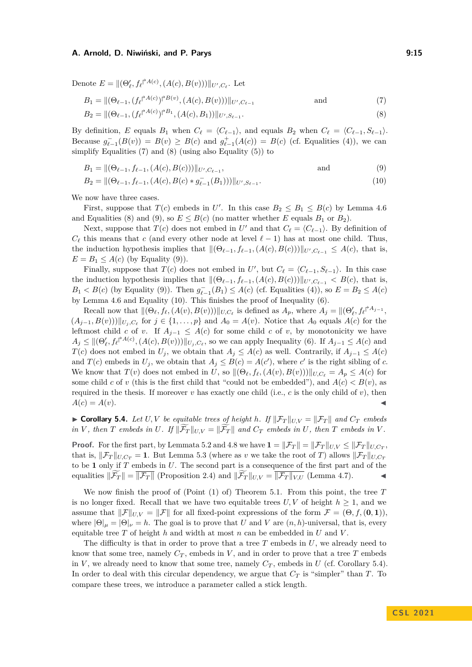Denote  $E = ||(\Theta'_{\ell}, f_{\ell} |^{\lambda_{A(c)}}, (A(c), B(v)))||_{U', C_{\ell}}$ . Let

<span id="page-14-0"></span>
$$
B_1 = ||(\Theta_{\ell-1}, (f_{\ell} \upharpoonright^{A(c)})^{\upharpoonright B(v)}, (A(c), B(v)))||_{U', C_{\ell-1}} \quad \text{and} \quad (7)
$$

<span id="page-14-1"></span>
$$
B_2 = ||(\Theta_{\ell-1}, (f_{\ell} \rvert^{A(c)})^{\dagger B_1}, (A(c), B_1))||_{U', S_{\ell-1}}.
$$
\n(8)

By definition, *E* equals *B*<sub>1</sub> when  $C_{\ell} = \langle C_{\ell-1} \rangle$ , and equals *B*<sub>2</sub> when  $C_{\ell} = \langle C_{\ell-1}, S_{\ell-1} \rangle$ . Because  $g_{\ell-1}^-(B(v)) = B(v) \geq B(c)$  and  $g_{\ell-1}^+(A(c)) = B(c)$  (cf. Equalities [\(4\)](#page-12-1)), we can simplify Equalities [\(7\)](#page-14-0) and [\(8\)](#page-14-1) (using also Equality [\(5\)](#page-13-1)) to

<span id="page-14-2"></span>
$$
B_1 = ||(\Theta_{\ell-1}, f_{\ell-1}, (A(c), B(c)))||_{U', C_{\ell-1}}, \qquad \text{and} \qquad (9)
$$

<span id="page-14-3"></span>
$$
B_2 = ||(\Theta_{\ell-1}, f_{\ell-1}, (A(c), B(c) * g_{\ell-1}^-(B_1)))||_{U', S_{\ell-1}}.
$$
\n
$$
(10)
$$

We now have three cases.

First, suppose that  $T(c)$  embeds in U'. In this case  $B_2 \leq B_1 \leq B(c)$  by Lemma [4.6](#page-10-1) and Equalities [\(8\)](#page-14-1) and [\(9\)](#page-14-2), so  $E \leq B(c)$  (no matter whether *E* equals  $B_1$  or  $B_2$ ).

Next, suppose that  $T(c)$  does not embed in  $U'$  and that  $C_{\ell} = \langle C_{\ell-1} \rangle$ . By definition of  $C_{\ell}$  this means that *c* (and every other node at level  $\ell - 1$ ) has at most one child. Thus, the induction hypothesis implies that  $\|(\Theta_{\ell-1}, f_{\ell-1}, (A(c), B(c)))\|_{U', C_{\ell-1}} \leq A(c)$ , that is,  $E = B_1 \leq A(c)$  (by Equality [\(9\)](#page-14-2)).

Finally, suppose that  $T(c)$  does not embed in  $U'$ , but  $C_{\ell} = \langle C_{\ell-1}, S_{\ell-1} \rangle$ . In this case the induction hypothesis implies that  $\|(\Theta_{\ell-1}, f_{\ell-1}, (A(c), B(c)))\|_{U', C_{\ell-1}} < B(c)$ , that is,  $B_1 < B(c)$  (by Equality [\(9\)](#page-14-2)). Then  $g_{\ell-1}^-(B_1) \leq A(c)$  (cf. Equalities [\(4\)](#page-12-1)), so  $E = B_2 \leq A(c)$ by Lemma [4.6](#page-10-1) and Equality [\(10\)](#page-14-3). This finishes the proof of Inequality [\(6\)](#page-13-2).

Recall now that  $\|(\Theta_{\ell}, f_{\ell}, (A(v), B(v)))\|_{U,C_{\ell}}$  is defined as  $A_p$ , where  $A_j = \|(\Theta'_{\ell}, f_{\ell} | A_{j-1}, A_{j-1})\|_{U,C_{\ell}}$  $(A_{j-1}, B(v))\|_{U_j, C_\ell}$  for  $j \in \{1, \ldots, p\}$  and  $A_0 = A(v)$ . Notice that  $A_0$  equals  $A(c)$  for the leftmost child *c* of *v*. If  $A_{j-1} \leq A(c)$  for some child *c* of *v*, by monotonicity we have  $A_j \leq ||(\Theta'_\ell, f_\ell^{\uparrow A(c)}, (A(c), B(v)))||_{U_j, C_\ell}$ , so we can apply Inequality [\(6\)](#page-13-2). If  $A_{j-1} \leq A(c)$  and *T*(*c*) does not embed in *U<sub>j</sub>*, we obtain that  $A_j \leq A(c)$  as well. Contrarily, if  $A_{j-1} \leq A(c)$ and  $T(c)$  embeds in  $U_j$ , we obtain that  $A_j \leq B(c) = A(c')$ , where *c*' is the right sibling of *c*. We know that  $T(v)$  does not embed in U, so  $\|(\Theta_\ell, f_\ell, (A(v), B(v)))\|_{U, C_\ell} = A_p \leq A(c)$  for some child *c* of *v* (this is the first child that "could not be embedded"), and  $A(c) < B(v)$ , as required in the thesis. If moreover  $v$  has exactly one child (i.e.,  $c$  is the only child of  $v$ ), then  $A(c) = A(v).$ 

<span id="page-14-4"></span> $\triangleright$  **Corollary 5.4.** Let U, V be equitable trees of height h. If  $\|\mathcal{F}_T\|_{U,V} = \|\mathcal{F}_T\|$  and  $C_T$  embeds in V, then T embeds in U. If  $\|\widetilde{\mathcal{F}}_T\|_{U,V} = \|\widetilde{\mathcal{F}}_T\|$  and  $C_T$  embeds in U, then T embeds in V.

**Proof.** For the first part, by Lemmata [5.2](#page-13-3) and [4.8](#page-10-2) we have  $\mathbf{1} = \|\mathcal{F}_T\| = \|\mathcal{F}_T\|_{U,V} \le \|\mathcal{F}_T\|_{U,C_T}$ , that is,  $\|\mathcal{F}_T\|_{U,C_T} = 1$ . But Lemma [5.3](#page-13-4) (where as *v* we take the root of *T*) allows  $\|\mathcal{F}_T\|_{U,C_T}$ to be **1** only if *T* embeds in *U*. The second part is a consequence of the first part and of the equalities  $\Vert \widetilde{\mathcal{F}}_T \Vert = \overline{\Vert \mathcal{F}_T \Vert}$  (Proposition [2.4\)](#page-3-2) and  $\Vert \widetilde{\mathcal{F}}_T \Vert_{U,V} = \overline{\Vert \mathcal{F}_T \Vert_{V,U}}$  (Lemma [4.7\)](#page-10-0).

We now finish the proof of (Point [\(1\)](#page-11-2) of) Theorem [5.1.](#page-11-0) From this point, the tree *T* is no longer fixed. Recall that we have two equitable trees  $U, V$  of height  $h \geq 1$ , and we assume that  $\|\mathcal{F}\|_{UV} = \|\mathcal{F}\|$  for all fixed-point expressions of the form  $\mathcal{F} = (\Theta, f, (\mathbf{0}, \mathbf{1}))$ . where  $|\Theta|_{\mu} = |\Theta|_{\nu} = h$ . The goal is to prove that *U* and *V* are  $(n, h)$ -universal, that is, every equitable tree *T* of height *h* and width at most *n* can be embedded in *U* and *V* .

The difficulty is that in order to prove that a tree *T* embeds in *U*, we already need to know that some tree, namely  $C_T$ , embeds in  $V$ , and in order to prove that a tree  $T$  embeds in *V*, we already need to know that some tree, namely  $C_T$ , embeds in *U* (cf. Corollary [5.4\)](#page-14-4). In order to deal with this circular dependency, we argue that *C<sup>T</sup>* is "simpler" than *T*. To compare these trees, we introduce a parameter called a stick length.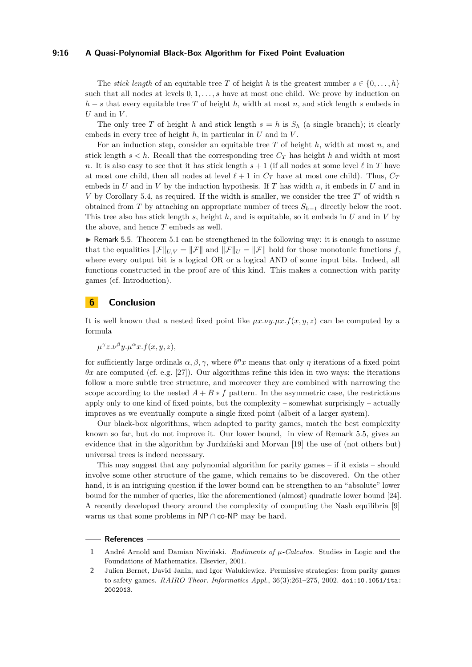### **9:16 A Quasi-Polynomial Black-Box Algorithm for Fixed Point Evaluation**

The *stick length* of an equitable tree *T* of height *h* is the greatest number  $s \in \{0, \ldots, h\}$ such that all nodes at levels 0*,* 1*, . . . , s* have at most one child. We prove by induction on  $h - s$  that every equitable tree *T* of height *h*, width at most *n*, and stick length *s* embeds in *U* and in *V* .

The only tree *T* of height *h* and stick length  $s = h$  is  $S_h$  (a single branch); it clearly embeds in every tree of height *h*, in particular in *U* and in *V* .

For an induction step, consider an equitable tree *T* of height *h*, width at most *n*, and stick length  $s < h$ . Recall that the corresponding tree  $C_T$  has height *h* and width at most *n*. It is also easy to see that it has stick length  $s + 1$  (if all nodes at some level  $\ell$  in *T* have at most one child, then all nodes at level  $\ell + 1$  in  $C_T$  have at most one child). Thus,  $C_T$ embeds in *U* and in *V* by the induction hypothesis. If *T* has width *n*, it embeds in *U* and in *V* by Corollary [5.4,](#page-14-4) as required. If the width is smaller, we consider the tree  $T'$  of width  $n$ obtained from *T* by attaching an appropriate number of trees *Sh*−<sup>1</sup> directly below the root. This tree also has stick length *s*, height *h*, and is equitable, so it embeds in *U* and in *V* by the above, and hence *T* embeds as well.

<span id="page-15-2"></span> $\triangleright$  Remark 5.5. Theorem [5.1](#page-11-0) can be strengthened in the following way: it is enough to assume that the equalities  $\|\mathcal{F}\|_{UV} = \|\mathcal{F}\|$  and  $\|\mathcal{F}\|_{U} = \|\mathcal{F}\|$  hold for those monotonic functions *f*, where every output bit is a logical OR or a logical AND of some input bits. Indeed, all functions constructed in the proof are of this kind. This makes a connection with parity games (cf. Introduction).

### **6 Conclusion**

It is well known that a nested fixed point like  $\mu x.\nu y.\mu x.f(x, y, z)$  can be computed by a formula

 $\mu^{\gamma}z.\nu^{\beta}y.\mu^{\alpha}x.f(x,y,z),$ 

for sufficiently large ordinals  $\alpha, \beta, \gamma$ , where  $\theta^n x$  means that only  $\eta$  iterations of a fixed point  $\theta x$  are computed (cf. e.g. [\[27\]](#page-17-13)). Our algorithms refine this idea in two ways: the iterations follow a more subtle tree structure, and moreover they are combined with narrowing the scope according to the nested  $A + B * f$  pattern. In the asymmetric case, the restrictions apply only to one kind of fixed points, but the complexity – somewhat surprisingly – actually improves as we eventually compute a single fixed point (albeit of a larger system).

Our black-box algorithms, when adapted to parity games, match the best complexity known so far, but do not improve it. Our lower bound, in view of Remark [5.5,](#page-15-2) gives an evidence that in the algorithm by Jurdziński and Morvan [\[19\]](#page-17-2) the use of (not others but) universal trees is indeed necessary.

This may suggest that any polynomial algorithm for parity games – if it exists – should involve some other structure of the game, which remains to be discovered. On the other hand, it is an intriguing question if the lower bound can be strengthen to an "absolute" lower bound for the number of queries, like the aforementioned (almost) quadratic lower bound [\[24\]](#page-17-0). A recently developed theory around the complexity of computing the Nash equilibria [\[9\]](#page-16-13) warns us that some problems in  $\mathsf{NP} \cap \mathsf{co}\text{-}\mathsf{NP}$  may be hard.

#### **References**

<span id="page-15-0"></span>**<sup>1</sup>** André Arnold and Damian Niwiński. *Rudiments of µ-Calculus*. Studies in Logic and the Foundations of Mathematics. Elsevier, 2001.

<span id="page-15-1"></span>**<sup>2</sup>** Julien Bernet, David Janin, and Igor Walukiewicz. Permissive strategies: from parity games to safety games. *RAIRO Theor. Informatics Appl.*, 36(3):261–275, 2002. [doi:10.1051/ita:](https://doi.org/10.1051/ita:2002013) [2002013](https://doi.org/10.1051/ita:2002013).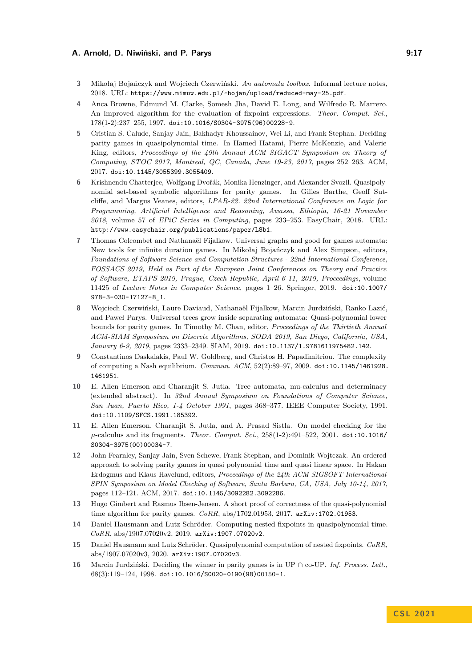### **A. Arnold, D. Niwiński, and P. Parys 6. Eq. 20. Eq. 20. Armore 1.17**

- <span id="page-16-12"></span>**3** Mikołaj Bojańczyk and Wojciech Czerwiński. *An automata toolbox*. Informal lecture notes, 2018. URL: <https://www.mimuw.edu.pl/~bojan/upload/reduced-may-25.pdf>.
- <span id="page-16-2"></span>**4** Anca Browne, Edmund M. Clarke, Somesh Jha, David E. Long, and Wilfredo R. Marrero. An improved algorithm for the evaluation of fixpoint expressions. *Theor. Comput. Sci.*, 178(1-2):237–255, 1997. [doi:10.1016/S0304-3975\(96\)00228-9](https://doi.org/10.1016/S0304-3975(96)00228-9).
- <span id="page-16-3"></span>**5** Cristian S. Calude, Sanjay Jain, Bakhadyr Khoussainov, Wei Li, and Frank Stephan. Deciding parity games in quasipolynomial time. In Hamed Hatami, Pierre McKenzie, and Valerie King, editors, *Proceedings of the 49th Annual ACM SIGACT Symposium on Theory of Computing, STOC 2017, Montreal, QC, Canada, June 19-23, 2017*, pages 252–263. ACM, 2017. [doi:10.1145/3055399.3055409](https://doi.org/10.1145/3055399.3055409).
- <span id="page-16-10"></span>**6** Krishnendu Chatterjee, Wolfgang Dvořák, Monika Henzinger, and Alexander Svozil. Quasipolynomial set-based symbolic algorithms for parity games. In Gilles Barthe, Geoff Sutcliffe, and Margus Veanes, editors, *LPAR-22. 22nd International Conference on Logic for Programming, Artificial Intelligence and Reasoning, Awassa, Ethiopia, 16-21 November 2018*, volume 57 of *EPiC Series in Computing*, pages 233–253. EasyChair, 2018. URL: <http://www.easychair.org/publications/paper/L8b1>.
- <span id="page-16-9"></span>**7** Thomas Colcombet and Nathanaël Fijalkow. Universal graphs and good for games automata: New tools for infinite duration games. In Mikołaj Bojańczyk and Alex Simpson, editors, *Foundations of Software Science and Computation Structures - 22nd International Conference, FOSSACS 2019, Held as Part of the European Joint Conferences on Theory and Practice of Software, ETAPS 2019, Prague, Czech Republic, April 6-11, 2019, Proceedings*, volume 11425 of *Lecture Notes in Computer Science*, pages 1–26. Springer, 2019. [doi:10.1007/](https://doi.org/10.1007/978-3-030-17127-8_1) [978-3-030-17127-8\\_1](https://doi.org/10.1007/978-3-030-17127-8_1).
- <span id="page-16-7"></span>**8** Wojciech Czerwiński, Laure Daviaud, Nathanaël Fijalkow, Marcin Jurdziński, Ranko Lazić, and Paweł Parys. Universal trees grow inside separating automata: Quasi-polynomial lower bounds for parity games. In Timothy M. Chan, editor, *Proceedings of the Thirtieth Annual ACM-SIAM Symposium on Discrete Algorithms, SODA 2019, San Diego, California, USA, January 6-9, 2019*, pages 2333–2349. SIAM, 2019. [doi:10.1137/1.9781611975482.142](https://doi.org/10.1137/1.9781611975482.142).
- <span id="page-16-13"></span>**9** Constantinos Daskalakis, Paul W. Goldberg, and Christos H. Papadimitriou. The complexity of computing a Nash equilibrium. *Commun. ACM*, 52(2):89–97, 2009. [doi:10.1145/1461928.](https://doi.org/10.1145/1461928.1461951) [1461951](https://doi.org/10.1145/1461928.1461951).
- <span id="page-16-0"></span>**10** E. Allen Emerson and Charanjit S. Jutla. Tree automata, mu-calculus and determinacy (extended abstract). In *32nd Annual Symposium on Foundations of Computer Science, San Juan, Puerto Rico, 1-4 October 1991*, pages 368–377. IEEE Computer Society, 1991. [doi:10.1109/SFCS.1991.185392](https://doi.org/10.1109/SFCS.1991.185392).
- <span id="page-16-1"></span>**11** E. Allen Emerson, Charanjit S. Jutla, and A. Prasad Sistla. On model checking for the *µ*-calculus and its fragments. *Theor. Comput. Sci.*, 258(1-2):491–522, 2001. [doi:10.1016/](https://doi.org/10.1016/S0304-3975(00)00034-7) [S0304-3975\(00\)00034-7](https://doi.org/10.1016/S0304-3975(00)00034-7).
- <span id="page-16-4"></span>**12** John Fearnley, Sanjay Jain, Sven Schewe, Frank Stephan, and Dominik Wojtczak. An ordered approach to solving parity games in quasi polynomial time and quasi linear space. In Hakan Erdogmus and Klaus Havelund, editors, *Proceedings of the 24th ACM SIGSOFT International SPIN Symposium on Model Checking of Software, Santa Barbara, CA, USA, July 10-14, 2017*, pages 112–121. ACM, 2017. [doi:10.1145/3092282.3092286](https://doi.org/10.1145/3092282.3092286).
- <span id="page-16-5"></span>**13** Hugo Gimbert and Rasmus Ibsen-Jensen. A short proof of correctness of the quasi-polynomial time algorithm for parity games. *CoRR*, abs/1702.01953, 2017. [arXiv:1702.01953](http://arxiv.org/abs/1702.01953).
- <span id="page-16-6"></span>**14** Daniel Hausmann and Lutz Schröder. Computing nested fixpoints in quasipolynomial time. *CoRR*, abs/1907.07020v2, 2019. [arXiv:1907.07020v2](http://arxiv.org/abs/1907.07020v2).
- <span id="page-16-8"></span>**15** Daniel Hausmann and Lutz Schröder. Quasipolynomial computation of nested fixpoints. *CoRR*, abs/1907.07020v3, 2020. [arXiv:1907.07020v3](http://arxiv.org/abs/1907.07020v3).
- <span id="page-16-11"></span>**16** Marcin Jurdziński. Deciding the winner in parity games is in UP ∩ co-UP. *Inf. Process. Lett.*, 68(3):119–124, 1998. [doi:10.1016/S0020-0190\(98\)00150-1](https://doi.org/10.1016/S0020-0190(98)00150-1).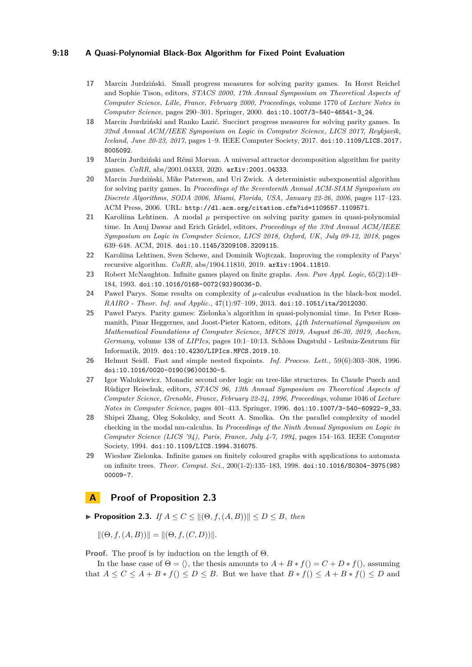### **9:18 A Quasi-Polynomial Black-Box Algorithm for Fixed Point Evaluation**

- <span id="page-17-12"></span>**17** Marcin Jurdziński. Small progress measures for solving parity games. In Horst Reichel and Sophie Tison, editors, *STACS 2000, 17th Annual Symposium on Theoretical Aspects of Computer Science, Lille, France, February 2000, Proceedings*, volume 1770 of *Lecture Notes in Computer Science*, pages 290–301. Springer, 2000. [doi:10.1007/3-540-46541-3\\_24](https://doi.org/10.1007/3-540-46541-3_24).
- <span id="page-17-1"></span>**18** Marcin Jurdziński and Ranko Lazić. Succinct progress measures for solving parity games. In *32nd Annual ACM/IEEE Symposium on Logic in Computer Science, LICS 2017, Reykjavik, Iceland, June 20-23, 2017*, pages 1–9. IEEE Computer Society, 2017. [doi:10.1109/LICS.2017.](https://doi.org/10.1109/LICS.2017.8005092) [8005092](https://doi.org/10.1109/LICS.2017.8005092).
- <span id="page-17-2"></span>**19** Marcin Jurdziński and Rémi Morvan. A universal attractor decomposition algorithm for parity games. *CoRR*, abs/2001.04333, 2020. [arXiv:2001.04333](http://arxiv.org/abs/2001.04333).
- <span id="page-17-9"></span>**20** Marcin Jurdziński, Mike Paterson, and Uri Zwick. A deterministic subexponential algorithm for solving parity games. In *Proceedings of the Seventeenth Annual ACM-SIAM Symposium on Discrete Algorithms, SODA 2006, Miami, Florida, USA, January 22-26, 2006*, pages 117–123. ACM Press, 2006. URL: <http://dl.acm.org/citation.cfm?id=1109557.1109571>.
- <span id="page-17-3"></span>**21** Karoliina Lehtinen. A modal  $\mu$  perspective on solving parity games in quasi-polynomial time. In Anuj Dawar and Erich Grädel, editors, *Proceedings of the 33rd Annual ACM/IEEE Symposium on Logic in Computer Science, LICS 2018, Oxford, UK, July 09-12, 2018*, pages 639–648. ACM, 2018. [doi:10.1145/3209108.3209115](https://doi.org/10.1145/3209108.3209115).
- <span id="page-17-4"></span>**22** Karoliina Lehtinen, Sven Schewe, and Dominik Wojtczak. Improving the complexity of Parys' recursive algorithm. *CoRR*, abs/1904.11810, 2019. [arXiv:1904.11810](http://arxiv.org/abs/1904.11810).
- <span id="page-17-6"></span>**23** Robert McNaughton. Infinite games played on finite graphs. *Ann. Pure Appl. Logic*, 65(2):149– 184, 1993. [doi:10.1016/0168-0072\(93\)90036-D](https://doi.org/10.1016/0168-0072(93)90036-D).
- <span id="page-17-0"></span>**24** Paweł Parys. Some results on complexity of *µ*-calculus evaluation in the black-box model. *RAIRO - Theor. Inf. and Applic.*, 47(1):97–109, 2013. [doi:10.1051/ita/2012030](https://doi.org/10.1051/ita/2012030).
- <span id="page-17-5"></span>**25** Paweł Parys. Parity games: Zielonka's algorithm in quasi-polynomial time. In Peter Rossmanith, Pinar Heggernes, and Joost-Pieter Katoen, editors, *44th International Symposium on Mathematical Foundations of Computer Science, MFCS 2019, August 26-30, 2019, Aachen, Germany*, volume 138 of *LIPIcs*, pages 10:1–10:13. Schloss Dagstuhl - Leibniz-Zentrum für Informatik, 2019. [doi:10.4230/LIPIcs.MFCS.2019.10](https://doi.org/10.4230/LIPIcs.MFCS.2019.10).
- <span id="page-17-8"></span>**26** Helmut Seidl. Fast and simple nested fixpoints. *Inf. Process. Lett.*, 59(6):303–308, 1996. [doi:10.1016/0020-0190\(96\)00130-5](https://doi.org/10.1016/0020-0190(96)00130-5).
- <span id="page-17-13"></span>**27** Igor Walukiewicz. Monadic second order logic on tree-like structures. In Claude Puech and Rüdiger Reischuk, editors, *STACS 96, 13th Annual Symposium on Theoretical Aspects of Computer Science, Grenoble, France, February 22-24, 1996, Proceedings*, volume 1046 of *Lecture Notes in Computer Science*, pages 401–413. Springer, 1996. [doi:10.1007/3-540-60922-9\\_33](https://doi.org/10.1007/3-540-60922-9_33).
- <span id="page-17-10"></span>**28** Shipei Zhang, Oleg Sokolsky, and Scott A. Smolka. On the parallel complexity of model checking in the modal mu-calculus. In *Proceedings of the Ninth Annual Symposium on Logic in Computer Science (LICS '94), Paris, France, July 4-7, 1994*, pages 154–163. IEEE Computer Society, 1994. [doi:10.1109/LICS.1994.316075](https://doi.org/10.1109/LICS.1994.316075).
- <span id="page-17-7"></span>**29** Wiesław Zielonka. Infinite games on finitely coloured graphs with applications to automata on infinite trees. *Theor. Comput. Sci.*, 200(1-2):135–183, 1998. [doi:10.1016/S0304-3975\(98\)](https://doi.org/10.1016/S0304-3975(98)00009-7) [00009-7](https://doi.org/10.1016/S0304-3975(98)00009-7).

### <span id="page-17-11"></span>**A Proof of Proposition [2.3](#page-3-0)**

▶ **Proposition 2.3.** *If*  $A \le C \le ||(\Theta, f, (A, B))|| \le D \le B$ *, then* 

 $\|(\Theta, f, (A, B))\| = \|(\Theta, f, (C, D))\|.$ 

**Proof.** The proof is by induction on the length of Θ.

In the base case of  $\Theta = \langle \rangle$ , the thesis amounts to  $A + B * f() = C + D * f($ , assuming that  $A \leq C \leq A + B * f$   $\geq D \leq B$ . But we have that  $B * f$   $\geq A + B * f$   $\geq D$  and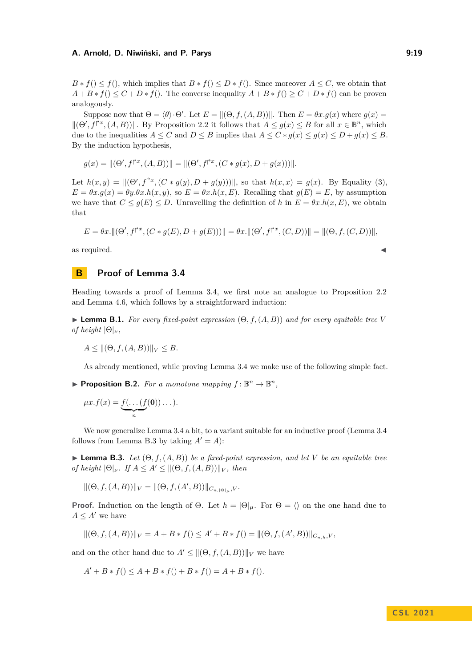$B * f() \leq f()$ , which implies that  $B * f() \leq D * f()$ . Since moreover  $A \leq C$ , we obtain that  $A + B * f() \leq C + D * f()$ . The converse inequality  $A + B * f() \geq C + D * f()$  can be proven analogously.

Suppose now that  $\Theta = \langle \theta \rangle \cdot \Theta'$ . Let  $E = ||(\Theta, f, (A, B))||$ . Then  $E = \theta x \cdot g(x)$  where  $g(x) =$  $\|(\Theta', f^{\dagger x}, (A, B))\|$ . By Proposition [2.2](#page-3-1) it follows that  $A \leq g(x) \leq B$  for all  $x \in \mathbb{B}^n$ , which due to the inequalities  $A \leq C$  and  $D \leq B$  implies that  $A \leq C * q(x) \leq q(x) \leq D + q(x) \leq B$ . By the induction hypothesis,

$$
g(x) = ||(\Theta', f^{\uparrow x}, (A, B))|| = ||(\Theta', f^{\uparrow x}, (C * g(x), D + g(x)))||.
$$

Let  $h(x, y) = ||(\Theta', f^{\uparrow x}, (C * g(y), D + g(y)))||$ , so that  $h(x, x) = g(x)$ . By Equality [\(3\)](#page-2-0),  $E = \theta x. g(x) = \theta y. \theta x. h(x, y)$ , so  $E = \theta x. h(x, E)$ . Recalling that  $g(E) = E$ , by assumption we have that  $C \leq g(E) \leq D$ . Unravelling the definition of *h* in  $E = \theta x \cdot h(x, E)$ , we obtain that

$$
E = \theta x. ||(\Theta', f^{\uparrow x}, (C * g(E), D + g(E)))|| = \theta x. ||(\Theta', f^{\uparrow x}, (C, D))|| = ||(\Theta, f, (C, D))||,
$$

as required.

### <span id="page-18-0"></span>**B Proof of Lemma [3.4](#page-6-0)**

Heading towards a proof of Lemma [3.4,](#page-6-0) we first note an analogue to Proposition [2.2](#page-3-1) and Lemma [4.6,](#page-10-1) which follows by a straightforward induction:

<span id="page-18-2"></span>**Lemma B.1.** *For every fixed-point expression*  $(\Theta, f, (A, B))$  *and for every equitable tree V of height*  $|\Theta|_{\nu}$ *,* 

$$
A \le ||(\Theta, f, (A, B))||_V \le B.
$$

As already mentioned, while proving Lemma [3.4](#page-6-0) we make use of the following simple fact.

<span id="page-18-3"></span>**Proposition B.2.** For a monotone mapping  $f: \mathbb{B}^n \to \mathbb{B}^n$ ,

$$
\mu x.f(x) = \underbrace{f(\dots(f(\mathbf{0}))\dots)}_{n}.
$$

We now generalize Lemma [3.4](#page-6-0) a bit, to a variant suitable for an inductive proof (Lemma [3.4](#page-6-0) follows from Lemma [B.3](#page-18-1) by taking  $A' = A$ :

<span id="page-18-1"></span> $\blacktriangleright$  **Lemma B.3.** *Let*  $(\Theta, f, (A, B))$  *be a fixed-point expression, and let V be an equitable tree of height*  $|\Theta|_{\nu}$ *. If*  $A \leq A' \leq ||(\Theta, f, (A, B))||_{V}$ *, then* 

 $||(\Theta, f, (A, B))||_V = ||(\Theta, f, (A', B))||_{C_{n, |\Theta|_\mu}, V}.$ 

**Proof.** Induction on the length of  $\Theta$ . Let  $h = |\Theta|_\mu$ . For  $\Theta = \langle \rangle$  on the one hand due to  $A \leq A'$  we have

$$
\|(\Theta, f, (A, B))\|_{V} = A + B * f() \le A' + B * f() = \|(\Theta, f, (A', B))\|_{C_{n,h}, V},
$$

and on the other hand due to  $A' \leq ||(\Theta, f, (A, B))||_V$  we have

$$
A' + B * f() \le A + B * f() + B * f() = A + B * f(.)
$$

$$
\lambda
$$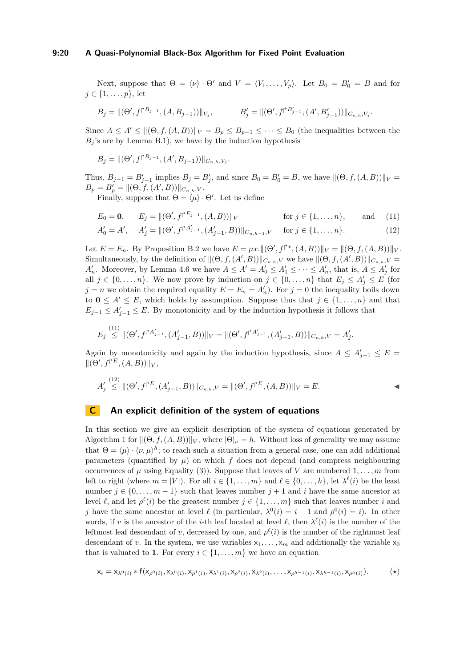#### **9:20 A Quasi-Polynomial Black-Box Algorithm for Fixed Point Evaluation**

Next, suppose that  $\Theta = \langle \nu \rangle \cdot \Theta'$  and  $V = \langle V_1, \ldots, V_p \rangle$ . Let  $B_0 = B'_0 = B$  and for  $j \in \{1, \ldots, p\}$ , let

$$
B_j = \|(\Theta',f^{\uparrow B_{j-1}},(A,B_{j-1}))\|_{V_j}, \qquad \qquad B'_j = \|(\Theta',f^{\uparrow B'_{j-1}},(A',B'_{j-1}))\|_{C_{n,h},V_j}.
$$

Since  $A \leq A' \leq ||(\Theta, f, (A, B))||_V = B_p \leq B_{p-1} \leq \cdots \leq B_0$  (the inequalities between the  $B_j$ 's are by Lemma [B.1\)](#page-18-2), we have by the induction hypothesis

 $B_j = ||(\Theta', f^{\dagger B_{j-1}}, (A', B_{j-1}))||_{C_{n,h}, V_j}.$ 

Thus,  $B_{j-1} = B'_{j-1}$  implies  $B_j = B'_j$ , and since  $B_0 = B'_0 = B$ , we have  $\|(\Theta, f, (A, B))\|_V =$  $B_p = B'_p = ||(\Theta, f, (A', B))||_{C_{n,h},V}.$ 

Finally, suppose that  $\Theta = \langle \mu \rangle \cdot \Theta'$ . Let us define

<span id="page-19-1"></span>
$$
E_0 = \mathbf{0}, \qquad E_j = \|(\Theta', f^{\dagger E_{j-1}}, (A, B))\|_V \qquad \text{for } j \in \{1, \dots, n\}, \qquad \text{and} \tag{11}
$$

<span id="page-19-2"></span>
$$
A'_0 = A', \quad A'_j = ||(\Theta', f^{\dagger A'_{j-1}}, (A'_{j-1}, B))||_{C_{n,h-1},V} \quad \text{for } j \in \{1, \dots, n\}.
$$
 (12)

Let  $E = E_n$ . By Proposition [B.2](#page-18-3) we have  $E = \mu x \cdot ||(\Theta', f^{\dagger x}, (A, B))||_V = ||(\Theta, f, (A, B))||_V$ . Simultaneously, by the definition of  $\|(\Theta, f, (A', B))\|_{C_{n,h},V}$  we have  $\|(\Theta, f, (A', B))\|_{C_{n,h},V} =$ *A*<sup>*n*</sup>. Moreover, by Lemma [4.6](#page-10-1) we have  $A \leq A' = A'_0 \leq A'_1 \leq \cdots \leq A'_n$ , that is,  $A \leq A'_j$  for all  $j \in \{0, \ldots, n\}$ . We now prove by induction on  $j \in \{0, \ldots, n\}$  that  $E_j \leq A'_j \leq E$  (for  $j = n$  we obtain the required equality  $E = E_n = A'_n$ . For  $j = 0$  the inequality boils down to **0**  $\leq$  *A'*  $\leq$  *E*, which holds by assumption. Suppose thus that  $j \in \{1, ..., n\}$  and that  $E_{j-1} \leq A'_{j-1} \leq E$ . By monotonicity and by the induction hypothesis it follows that

$$
E_j \stackrel{(11)}{\leq} ||(\Theta', f^{\uparrow A'_{j-1}}, (A'_{j-1}, B))||_V = ||(\Theta', f^{\uparrow A'_{j-1}}, (A'_{j-1}, B))||_{C_{n,h}, V} = A'_j.
$$

Again by monotonicity and again by the induction hypothesis, since  $A \leq A'_{j-1} \leq E$  $\|(\Theta', f^{\dagger E}, (A, B))\|_{V},$ 

$$
A'_{j} \stackrel{(12)}{\leq} ||(\Theta', f^{\dagger E}, (A'_{j-1}, B))||_{C_{n,h},V} = ||(\Theta', f^{\dagger E}, (A, B))||_{V} = E.
$$

### <span id="page-19-0"></span>**C An explicit definition of the system of equations**

In this section we give an explicit description of the system of equations generated by Algorithm [1](#page-6-1) for  $\|(\Theta, f, (A, B))\|_V$ , where  $|\Theta|_V = h$ . Without loss of generality we may assume that  $\Theta = \langle \mu \rangle \cdot \langle \nu, \mu \rangle^h$ ; to reach such a situation from a general case, one can add additional parameters (quantified by  $\mu$ ) on which f does not depend (and compress neighbouring occurrences of  $\mu$  using Equality [\(3\)](#page-2-0)). Suppose that leaves of *V* are numbered  $1, \ldots, m$  from left to right (where  $m = |V|$ ). For all  $i \in \{1, ..., m\}$  and  $\ell \in \{0, ..., h\}$ , let  $\lambda^{\ell}(i)$  be the least number  $j \in \{0, \ldots, m-1\}$  such that leaves number  $j+1$  and i have the same ancestor at level  $\ell$ , and let  $\rho^{\ell}(i)$  be the greatest number  $j \in \{1, \ldots, m\}$  such that leaves number *i* and *j* have the same ancestor at level  $\ell$  (in particular,  $\lambda^0(i) = i - 1$  and  $\rho^0(i) = i$ ). In other words, if *v* is the ancestor of the *i*-th leaf located at level  $\ell$ , then  $\lambda^{\ell}(i)$  is the number of the leftmost leaf descendant of *v*, decreased by one, and  $\rho^{\ell}(i)$  is the number of the rightmost leaf descendant of *v*. In the system, we use variables  $x_1, \ldots, x_m$  and additionally the variable  $x_0$ that is valuated to **1**. For every  $i \in \{1, \ldots, m\}$  we have an equation

$$
\mathsf{x}_{i}=\mathsf{x}_{\lambda^{0}(i)}\ast\mathsf{f}(\mathsf{x}_{\rho^{0}(i)},\mathsf{x}_{\lambda^{0}(i)},\mathsf{x}_{\rho^{1}(i)},\mathsf{x}_{\lambda^{1}(i)},\mathsf{x}_{\rho^{2}(i)},\mathsf{x}_{\lambda^{2}(i)},\ldots,\mathsf{x}_{\rho^{h-1}(i)},\mathsf{x}_{\lambda^{h-1}(i)},\mathsf{x}_{\rho^{h}(i)}). \hspace{1cm}(\star)
$$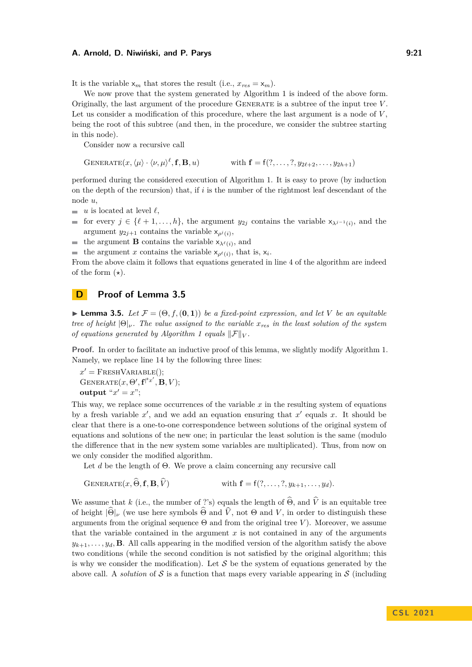It is the variable  $x_m$  that stores the result (i.e.,  $x_{res} = x_m$ ).

We now prove that the system generated by Algorithm [1](#page-6-1) is indeed of the above form. Originally, the last argument of the procedure Generate is a subtree of the input tree *V* . Let us consider a modification of this procedure, where the last argument is a node of *V* , being the root of this subtree (and then, in the procedure, we consider the subtree starting in this node).

Consider now a recursive call

 $GENERATE(x, \langle \mu \rangle \cdot \langle \nu, \mu \rangle^{\ell}, \mathbf{f}, \mathbf{B}, u)$  with  $\mathbf{f} = f(?, \ldots, ?, y_{2\ell+2}, \ldots, y_{2h+1})$ 

performed during the considered execution of Algorithm [1.](#page-6-1) It is easy to prove (by induction on the depth of the recursion) that, if *i* is the number of the rightmost leaf descendant of the node *u*,

- $\bar{a}$ *u* is located at level  $\ell$ ,
- for every  $j \in \{\ell + 1, \ldots, h\}$ , the argument  $y_{2j}$  contains the variable  $x_{\lambda^{j-1}(i)}$ , and the argument  $y_{2j+1}$  contains the variable  $x_{\rho^j(i)}$ ,

the argument **B** contains the variable  $x_{\lambda^{\ell}(i)}$ , and m.

the argument *x* contains the variable  $x_{\rho^{\ell}(i)}$ , that is,  $x_i$ .  $\overline{\phantom{a}}$ 

From the above claim it follows that equations generated in line [4](#page-6-1) of the algorithm are indeed of the form  $(\star)$ .

### <span id="page-20-0"></span>**D Proof of Lemma [3.5](#page-7-2)**

 $\blacktriangleright$  **Lemma 3.5.** Let  $\mathcal{F} = (\Theta, f, (\mathbf{0}, \mathbf{1}))$  be a fixed-point expression, and let V be an equitable *tree of height* |Θ|*ν. The value assigned to the variable xres in the least solution of the system of equations generated by Algorithm [1](#page-6-1) equals*  $||\mathcal{F}||_V$ .

**Proof.** In order to facilitate an inductive proof of this lemma, we slightly modify Algorithm [1.](#page-6-1) Namely, we replace line [14](#page-6-1) by the following three lines:

 $x' =$ FRESHVARIABLE();  $G$ ENERATE $(x, \Theta', \mathbf{f}^{\uparrow x'}, \mathbf{B}, V);$ **output** " $x' = x$ ";

This way, we replace some occurrences of the variable *x* in the resulting system of equations by a fresh variable  $x'$ , and we add an equation ensuring that  $x'$  equals  $x$ . It should be clear that there is a one-to-one correspondence between solutions of the original system of equations and solutions of the new one; in particular the least solution is the same (modulo the difference that in the new system some variables are multiplicated). Thus, from now on we only consider the modified algorithm.

Let *d* be the length of Θ. We prove a claim concerning any recursive call

$$
GENERATE(x, \widehat{\Theta}, \mathbf{f}, \mathbf{B}, \widehat{V}) \qquad \qquad \text{with } \mathbf{f} = f(?, \ldots, ?, y_{k+1}, \ldots, y_d).
$$

We assume that *k* (i.e., the number of ?'s) equals the length of  $\widehat{\Theta}$ , and  $\widehat{V}$  is an equitable tree of height  $|\widehat{\Theta}|_{\nu}$  (we use here symbols  $\widehat{\Theta}$  and  $\widehat{V}$ , not  $\Theta$  and  $V$ , in order to distinguish these arguments from the original sequence  $\Theta$  and from the original tree *V*). Moreover, we assume that the variable contained in the argument  $x$  is not contained in any of the arguments  $y_{k+1}, \ldots, y_d, \mathbf{B}$ . All calls appearing in the modified version of the algorithm satisfy the above two conditions (while the second condition is not satisfied by the original algorithm; this is why we consider the modification). Let  $S$  be the system of equations generated by the above call. A *solution* of S is a function that maps every variable appearing in S (including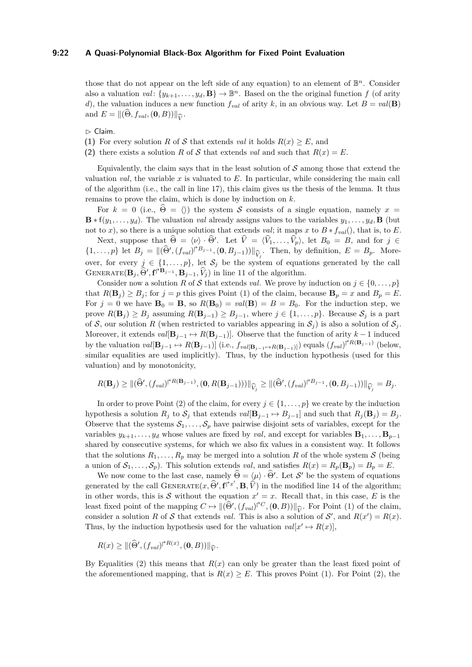those that do not appear on the left side of any equation) to an element of  $\mathbb{B}^n$ . Consider also a valuation  $val \colon \{y_{k+1}, \ldots, y_d, \mathbf{B}\} \to \mathbb{B}^n$ . Based on the the original function *f* (of arity *d*), the valuation induces a new function  $f_{val}$  of arity *k*, in an obvious way. Let  $B = val(\mathbf{B})$ and  $E = ||(\Theta, f_{val}, (\mathbf{0}, B))||_{\widehat{V}}.$ 

 $\triangleright$  Claim.

<span id="page-21-0"></span>**(1)** For every solution *R* of *S* that extends *val* it holds  $R(x) \geq E$ , and

<span id="page-21-1"></span>**(2)** there exists a solution *R* of *S* that extends *val* and such that  $R(x) = E$ .

Equivalently, the claim says that in the least solution of  $S$  among those that extend the valuation *val*, the variable  $x$  is valuated to  $E$ . In particular, while considering the main call of the algorithm (i.e., the call in line [17\)](#page-6-1), this claim gives us the thesis of the lemma. It thus remains to prove the claim, which is done by induction on *k*.

For  $k = 0$  (i.e.,  $\Theta = \langle \rangle$ ) the system S consists of a single equation, namely  $x =$  $\mathbf{B} * f(y_1, \ldots, y_d)$ . The valuation *val* already assigns values to the variables  $y_1, \ldots, y_d$ ,  $\mathbf{B}$  (but not to *x*), so there is a unique solution that extends *val*; it maps *x* to  $B * f_{val}()$ , that is, to *E*.

Next, suppose that  $\widehat{\Theta} = \langle \nu \rangle \cdot \widehat{\Theta}'$ . Let  $\widehat{V} = \langle \widehat{V}_1, \ldots, \widehat{V}_p \rangle$ , let  $B_0 = B$ , and for  $j \in \mathbb{R}$ .  $\{1,\ldots,p\}$  let  $B_j = \|(\widehat{\Theta}', (f_{val})^{\widehat{\sigma}_{B_{j-1}}}, (\mathbf{0}, B_{j-1}))\|_{\widehat{V}_j}$ . Then, by definition,  $E = B_p$ . More- $V^{(1)}(x, y)$  are  $\Sigma_j$   $V^{(1)}(x, y)$  and  $V^{(2)}(y, y)$  is  $\Sigma_j$ . Then,  $S_j$  definition,  $\Sigma_j$   $\Sigma_j$ . Then GENERATE $(\mathbf{B}_j, \tilde{\Theta}', \mathbf{f} \rvert^{2} \mathbf{B}_{j-1}, \tilde{V}_j)$  in line [11](#page-6-1) of the algorithm.

Consider now a solution *R* of S that extends *val*. We prove by induction on  $j \in \{0, \ldots, p\}$ that  $R(\mathbf{B}_i) \geq B_i$ ; for  $j = p$  this gives Point [\(1\)](#page-21-0) of the claim, because  $\mathbf{B}_p = x$  and  $B_p = E$ . For  $j = 0$  we have  $\mathbf{B}_0 = \mathbf{B}$ , so  $R(\mathbf{B}_0) = val(\mathbf{B}) = B = B_0$ . For the induction step, we prove  $R(\mathbf{B}_j) \geq B_j$  assuming  $R(\mathbf{B}_{j-1}) \geq B_{j-1}$ , where  $j \in \{1, \ldots, p\}$ . Because  $S_j$  is a part of S, our solution R (when restricted to variables appearing in  $S_j$ ) is also a solution of  $S_j$ . Moreover, it extends  $val[\mathbf{B}_{i-1} \mapsto R(\mathbf{B}_{i-1})]$ . Observe that the function of arity  $k-1$  induced by the valuation  $val[\mathbf{B}_{j-1} \mapsto R(\mathbf{B}_{j-1})]$  (i.e.,  $f_{val}[\mathbf{B}_{j-1} \mapsto R(\mathbf{B}_{j-1})]$ ) equals  $(f_{val})^{\dagger R(\mathbf{B}_{j-1})}$  (below, similar equalities are used implicitly). Thus, by the induction hypothesis (used for this valuation) and by monotonicity,

$$
R(\mathbf{B}_{j}) \geq ||(\widehat{\Theta}', (f_{val})^{\uparrow R(\mathbf{B}_{j-1})}, (0, R(\mathbf{B}_{j-1})))||_{\widehat{V}_{j}} \geq ||(\widehat{\Theta}', (f_{val})^{\uparrow B_{j-1}}, (0, B_{j-1}))||_{\widehat{V}_{j}} = B_{j}.
$$

In order to prove Point [\(2\)](#page-21-1) of the claim, for every  $j \in \{1, \ldots, p\}$  we create by the induction hypothesis a solution  $R_j$  to  $S_j$  that extends  $val[\mathbf{B}_{j-1} \mapsto B_{j-1}]$  and such that  $R_j(\mathbf{B}_j) = B_j$ . Observe that the systems  $S_1, \ldots, S_p$  have pairwise disjoint sets of variables, except for the variables  $y_{k+1}, \ldots, y_d$  whose values are fixed by *val*, and except for variables  $\mathbf{B}_1, \ldots, \mathbf{B}_{p-1}$ shared by consecutive systems, for which we also fix values in a consistent way. It follows that the solutions  $R_1, \ldots, R_p$  may be merged into a solution R of the whole system S (being a union of  $S_1, \ldots, S_p$ . This solution extends *val*, and satisfies  $R(x) = R_p(\mathbf{B}_p) = B_p = E$ .

We now come to the last case, namely  $\hat{\Theta} = \langle \mu \rangle \cdot \hat{\Theta}'$ . Let S' be the system of equations generated by the call  $\text{GENERATE}(x, \hat{\Theta}', \mathbf{f}^{\dagger x'}, \mathbf{B}, \hat{V})$  in the modified line [14](#page-6-1) of the algorithm; in other words, this is S without the equation  $x' = x$ . Recall that, in this case, E is the least fixed point of the mapping  $C \mapsto ||(\widehat{\Theta}', (f_{val})^{\dagger C}, (\mathbf{0}, B))||_{\widehat{V}}$ . For Point [\(1\)](#page-21-0) of the claim, consider a solution *R* of S that extends *val*. This is also a solution of S', and  $R(x') = R(x)$ . Thus, by the induction hypothesis used for the valuation  $val[x' \mapsto R(x)]$ ,

$$
R(x) \geq ||(\widehat{\Theta}', (f_{val})^{\uparrow R(x)}, (\mathbf{0}, B))||_{\widehat{V}}.
$$

By Equalities [\(2\)](#page-2-1) this means that *R*(*x*) can only be greater than the least fixed point of the aforementioned mapping, that is  $R(x) \geq E$ . This proves Point [\(1\)](#page-21-0). For Point [\(2\)](#page-21-1), the